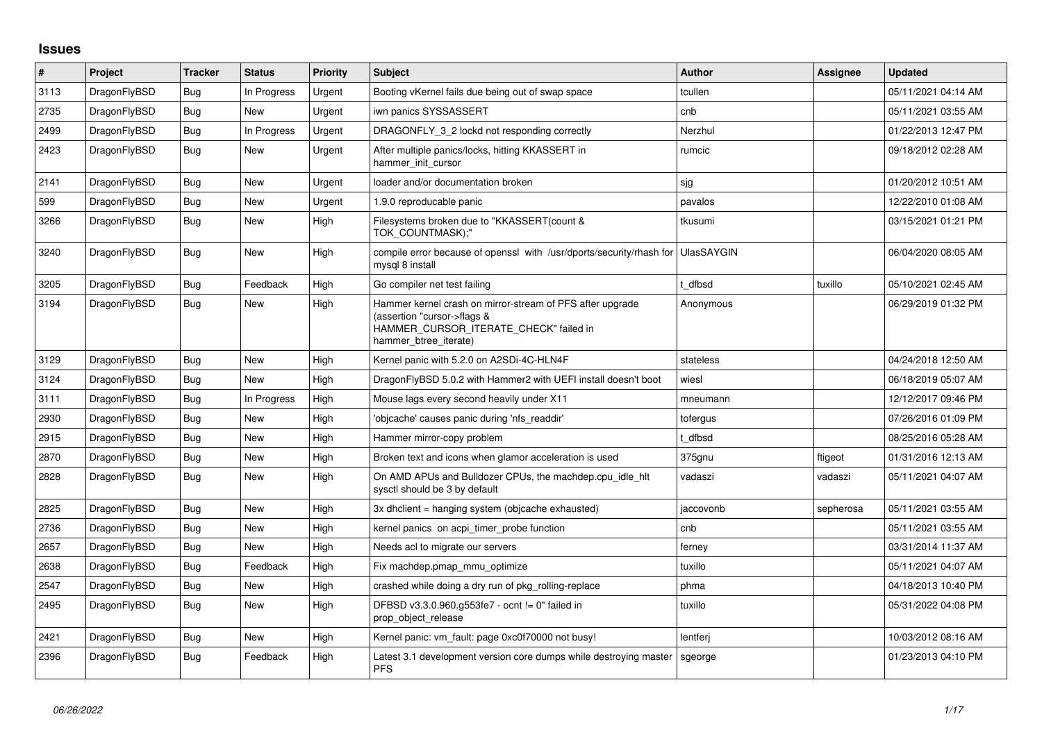## **Issues**

| $\vert$ # | Project      | <b>Tracker</b> | <b>Status</b> | Priority | <b>Subject</b>                                                                                                                                              | <b>Author</b>     | Assignee  | <b>Updated</b>      |
|-----------|--------------|----------------|---------------|----------|-------------------------------------------------------------------------------------------------------------------------------------------------------------|-------------------|-----------|---------------------|
| 3113      | DragonFlyBSD | Bug            | In Progress   | Urgent   | Booting vKernel fails due being out of swap space                                                                                                           | tcullen           |           | 05/11/2021 04:14 AM |
| 2735      | DragonFlyBSD | Bug            | New           | Urgent   | iwn panics SYSSASSERT                                                                                                                                       | cnb               |           | 05/11/2021 03:55 AM |
| 2499      | DragonFlyBSD | Bug            | In Progress   | Urgent   | DRAGONFLY 3 2 lockd not responding correctly                                                                                                                | Nerzhul           |           | 01/22/2013 12:47 PM |
| 2423      | DragonFlyBSD | Bug            | New           | Urgent   | After multiple panics/locks, hitting KKASSERT in<br>hammer init cursor                                                                                      | rumcic            |           | 09/18/2012 02:28 AM |
| 2141      | DragonFlyBSD | <b>Bug</b>     | <b>New</b>    | Urgent   | loader and/or documentation broken                                                                                                                          | sjg               |           | 01/20/2012 10:51 AM |
| 599       | DragonFlyBSD | Bug            | New           | Urgent   | 1.9.0 reproducable panic                                                                                                                                    | pavalos           |           | 12/22/2010 01:08 AM |
| 3266      | DragonFlyBSD | <b>Bug</b>     | New           | High     | Filesystems broken due to "KKASSERT(count &<br>TOK COUNTMASK);"                                                                                             | tkusumi           |           | 03/15/2021 01:21 PM |
| 3240      | DragonFlyBSD | <b>Bug</b>     | <b>New</b>    | High     | compile error because of openssl with /usr/dports/security/rhash for<br>mysgl 8 install                                                                     | <b>UlasSAYGIN</b> |           | 06/04/2020 08:05 AM |
| 3205      | DragonFlyBSD | <b>Bug</b>     | Feedback      | High     | Go compiler net test failing                                                                                                                                | dfbsd             | tuxillo   | 05/10/2021 02:45 AM |
| 3194      | DragonFlyBSD | Bug            | New           | High     | Hammer kernel crash on mirror-stream of PFS after upgrade<br>(assertion "cursor->flags &<br>HAMMER_CURSOR_ITERATE_CHECK" failed in<br>hammer btree iterate) | Anonymous         |           | 06/29/2019 01:32 PM |
| 3129      | DragonFlyBSD | Bug            | New           | High     | Kernel panic with 5.2.0 on A2SDi-4C-HLN4F                                                                                                                   | stateless         |           | 04/24/2018 12:50 AM |
| 3124      | DragonFlyBSD | Bug            | <b>New</b>    | High     | DragonFlyBSD 5.0.2 with Hammer2 with UEFI install doesn't boot                                                                                              | wiesl             |           | 06/18/2019 05:07 AM |
| 3111      | DragonFlyBSD | Bug            | In Progress   | High     | Mouse lags every second heavily under X11                                                                                                                   | mneumann          |           | 12/12/2017 09:46 PM |
| 2930      | DragonFlyBSD | <b>Bug</b>     | <b>New</b>    | High     | 'objcache' causes panic during 'nfs_readdir'                                                                                                                | tofergus          |           | 07/26/2016 01:09 PM |
| 2915      | DragonFlyBSD | Bug            | New           | High     | Hammer mirror-copy problem                                                                                                                                  | t dfbsd           |           | 08/25/2016 05:28 AM |
| 2870      | DragonFlyBSD | Bug            | New           | High     | Broken text and icons when glamor acceleration is used                                                                                                      | 375gnu            | ftigeot   | 01/31/2016 12:13 AM |
| 2828      | DragonFlyBSD | Bug            | New           | High     | On AMD APUs and Bulldozer CPUs, the machdep.cpu_idle_hlt<br>sysctl should be 3 by default                                                                   | vadaszi           | vadaszi   | 05/11/2021 04:07 AM |
| 2825      | DragonFlyBSD | <b>Bug</b>     | New           | High     | 3x dhclient = hanging system (objcache exhausted)                                                                                                           | jaccovonb         | sepherosa | 05/11/2021 03:55 AM |
| 2736      | DragonFlyBSD | <b>Bug</b>     | New           | High     | kernel panics on acpi timer probe function                                                                                                                  | cnb               |           | 05/11/2021 03:55 AM |
| 2657      | DragonFlyBSD | Bug            | New           | High     | Needs acl to migrate our servers                                                                                                                            | ferney            |           | 03/31/2014 11:37 AM |
| 2638      | DragonFlyBSD | Bug            | Feedback      | High     | Fix machdep.pmap mmu optimize                                                                                                                               | tuxillo           |           | 05/11/2021 04:07 AM |
| 2547      | DragonFlyBSD | Bug            | New           | High     | crashed while doing a dry run of pkg_rolling-replace                                                                                                        | phma              |           | 04/18/2013 10:40 PM |
| 2495      | DragonFlyBSD | <b>Bug</b>     | New           | High     | DFBSD v3.3.0.960.g553fe7 - ocnt != 0" failed in<br>prop_object_release                                                                                      | tuxillo           |           | 05/31/2022 04:08 PM |
| 2421      | DragonFlyBSD | Bug            | New           | High     | Kernel panic: vm fault: page 0xc0f70000 not busy!                                                                                                           | lentferj          |           | 10/03/2012 08:16 AM |
| 2396      | DragonFlyBSD | Bug            | Feedback      | High     | Latest 3.1 development version core dumps while destroying master<br><b>PFS</b>                                                                             | sgeorge           |           | 01/23/2013 04:10 PM |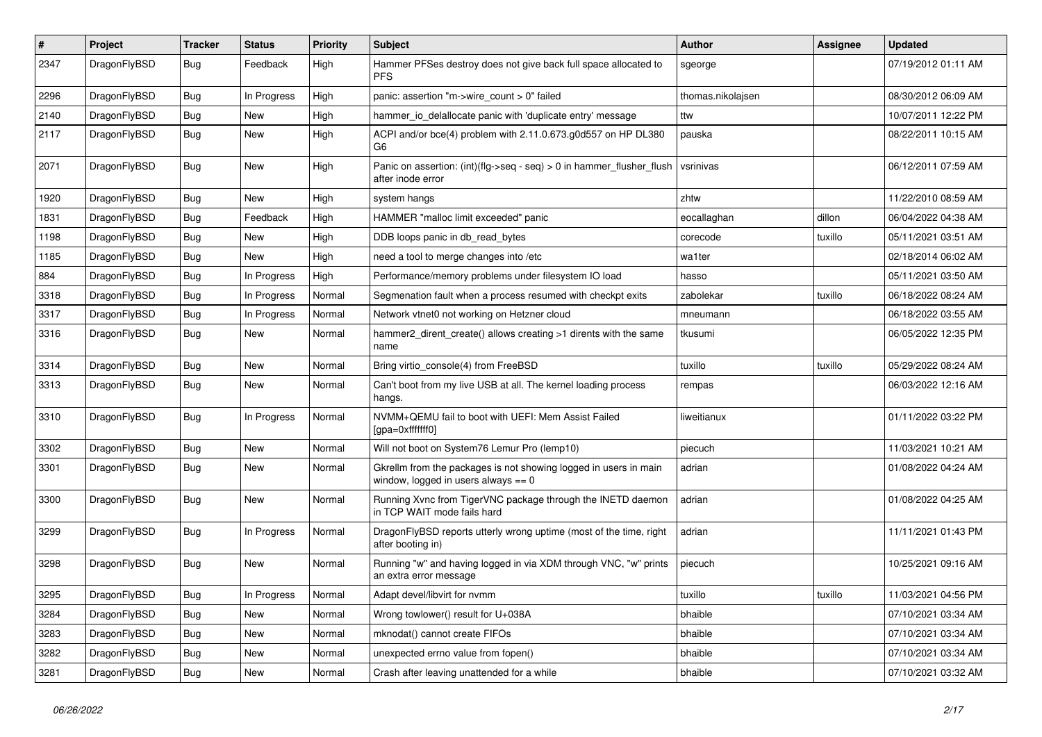| $\vert$ # | Project      | <b>Tracker</b> | <b>Status</b> | <b>Priority</b> | <b>Subject</b>                                                                                            | <b>Author</b>     | Assignee | <b>Updated</b>      |
|-----------|--------------|----------------|---------------|-----------------|-----------------------------------------------------------------------------------------------------------|-------------------|----------|---------------------|
| 2347      | DragonFlyBSD | Bug            | Feedback      | High            | Hammer PFSes destroy does not give back full space allocated to<br><b>PFS</b>                             | sgeorge           |          | 07/19/2012 01:11 AM |
| 2296      | DragonFlyBSD | <b>Bug</b>     | In Progress   | High            | panic: assertion "m->wire count > 0" failed                                                               | thomas.nikolajsen |          | 08/30/2012 06:09 AM |
| 2140      | DragonFlyBSD | <b>Bug</b>     | <b>New</b>    | High            | hammer io delallocate panic with 'duplicate entry' message                                                | ttw               |          | 10/07/2011 12:22 PM |
| 2117      | DragonFlyBSD | <b>Bug</b>     | <b>New</b>    | High            | ACPI and/or bce(4) problem with 2.11.0.673.g0d557 on HP DL380<br>G <sub>6</sub>                           | pauska            |          | 08/22/2011 10:15 AM |
| 2071      | DragonFlyBSD | <b>Bug</b>     | New           | High            | Panic on assertion: (int)(flg->seq - seq) > 0 in hammer_flusher_flush<br>after inode error                | vsrinivas         |          | 06/12/2011 07:59 AM |
| 1920      | DragonFlyBSD | Bug            | New           | High            | system hangs                                                                                              | zhtw              |          | 11/22/2010 08:59 AM |
| 1831      | DragonFlyBSD | Bug            | Feedback      | High            | HAMMER "malloc limit exceeded" panic                                                                      | eocallaghan       | dillon   | 06/04/2022 04:38 AM |
| 1198      | DragonFlyBSD | Bug            | <b>New</b>    | High            | DDB loops panic in db read bytes                                                                          | corecode          | tuxillo  | 05/11/2021 03:51 AM |
| 1185      | DragonFlyBSD | <b>Bug</b>     | <b>New</b>    | High            | need a tool to merge changes into /etc                                                                    | wa1ter            |          | 02/18/2014 06:02 AM |
| 884       | DragonFlyBSD | <b>Bug</b>     | In Progress   | High            | Performance/memory problems under filesystem IO load                                                      | hasso             |          | 05/11/2021 03:50 AM |
| 3318      | DragonFlyBSD | <b>Bug</b>     | In Progress   | Normal          | Segmenation fault when a process resumed with checkpt exits                                               | zabolekar         | tuxillo  | 06/18/2022 08:24 AM |
| 3317      | DragonFlyBSD | <b>Bug</b>     | In Progress   | Normal          | Network vtnet0 not working on Hetzner cloud                                                               | mneumann          |          | 06/18/2022 03:55 AM |
| 3316      | DragonFlyBSD | <b>Bug</b>     | <b>New</b>    | Normal          | hammer2_dirent_create() allows creating >1 dirents with the same<br>name                                  | tkusumi           |          | 06/05/2022 12:35 PM |
| 3314      | DragonFlyBSD | Bug            | <b>New</b>    | Normal          | Bring virtio console(4) from FreeBSD                                                                      | tuxillo           | tuxillo  | 05/29/2022 08:24 AM |
| 3313      | DragonFlyBSD | Bug            | <b>New</b>    | Normal          | Can't boot from my live USB at all. The kernel loading process<br>hangs.                                  | rempas            |          | 06/03/2022 12:16 AM |
| 3310      | DragonFlyBSD | <b>Bug</b>     | In Progress   | Normal          | NVMM+QEMU fail to boot with UEFI: Mem Assist Failed<br>[gpa=0xfffffff0]                                   | liweitianux       |          | 01/11/2022 03:22 PM |
| 3302      | DragonFlyBSD | <b>Bug</b>     | <b>New</b>    | Normal          | Will not boot on System76 Lemur Pro (lemp10)                                                              | piecuch           |          | 11/03/2021 10:21 AM |
| 3301      | DragonFlyBSD | Bug            | <b>New</b>    | Normal          | Gkrellm from the packages is not showing logged in users in main<br>window, logged in users always $== 0$ | adrian            |          | 01/08/2022 04:24 AM |
| 3300      | DragonFlyBSD | Bug            | <b>New</b>    | Normal          | Running Xvnc from TigerVNC package through the INETD daemon<br>in TCP WAIT mode fails hard                | adrian            |          | 01/08/2022 04:25 AM |
| 3299      | DragonFlyBSD | <b>Bug</b>     | In Progress   | Normal          | DragonFlyBSD reports utterly wrong uptime (most of the time, right<br>after booting in)                   | adrian            |          | 11/11/2021 01:43 PM |
| 3298      | DragonFlyBSD | <b>Bug</b>     | <b>New</b>    | Normal          | Running "w" and having logged in via XDM through VNC, "w" prints<br>an extra error message                | piecuch           |          | 10/25/2021 09:16 AM |
| 3295      | DragonFlyBSD | <b>Bug</b>     | In Progress   | Normal          | Adapt devel/libvirt for nymm                                                                              | tuxillo           | tuxillo  | 11/03/2021 04:56 PM |
| 3284      | DragonFlyBSD | Bug            | New           | Normal          | Wrong towlower() result for U+038A                                                                        | bhaible           |          | 07/10/2021 03:34 AM |
| 3283      | DragonFlyBSD | Bug            | <b>New</b>    | Normal          | mknodat() cannot create FIFOs                                                                             | bhaible           |          | 07/10/2021 03:34 AM |
| 3282      | DragonFlyBSD | Bug            | New           | Normal          | unexpected errno value from fopen()                                                                       | bhaible           |          | 07/10/2021 03:34 AM |
| 3281      | DragonFlyBSD | Bug            | <b>New</b>    | Normal          | Crash after leaving unattended for a while                                                                | bhaible           |          | 07/10/2021 03:32 AM |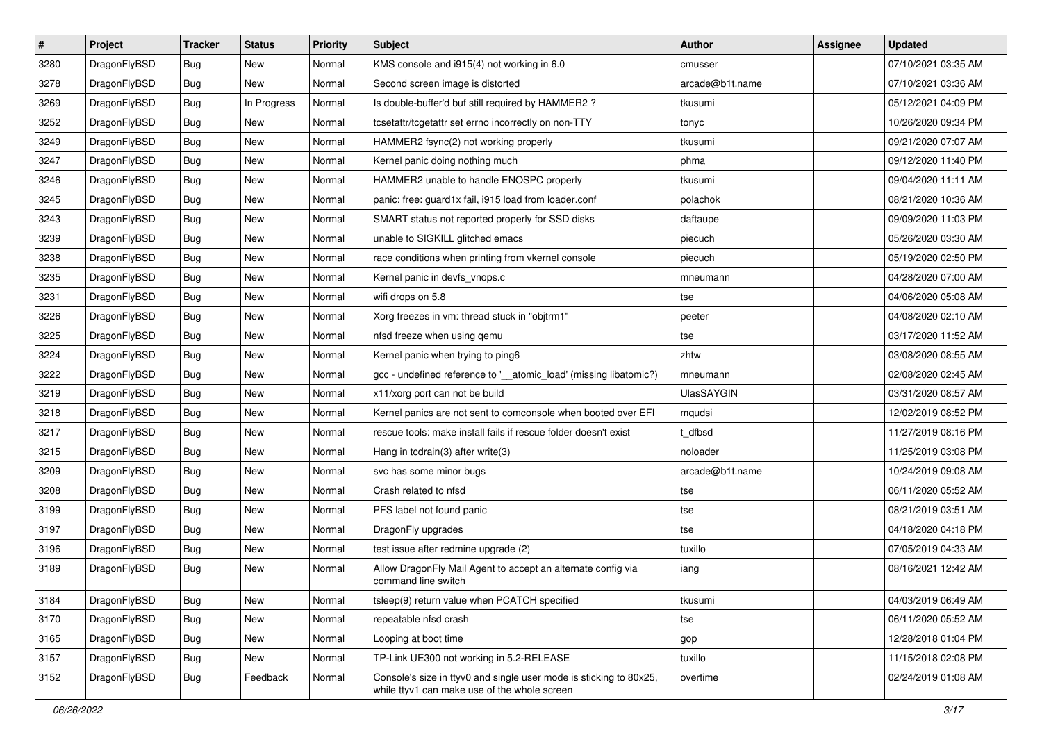| $\sharp$ | Project      | <b>Tracker</b> | <b>Status</b> | <b>Priority</b> | <b>Subject</b>                                                                                                     | Author            | Assignee | <b>Updated</b>      |
|----------|--------------|----------------|---------------|-----------------|--------------------------------------------------------------------------------------------------------------------|-------------------|----------|---------------------|
| 3280     | DragonFlyBSD | Bug            | <b>New</b>    | Normal          | KMS console and i915(4) not working in 6.0                                                                         | cmusser           |          | 07/10/2021 03:35 AM |
| 3278     | DragonFlyBSD | Bug            | <b>New</b>    | Normal          | Second screen image is distorted                                                                                   | arcade@b1t.name   |          | 07/10/2021 03:36 AM |
| 3269     | DragonFlyBSD | <b>Bug</b>     | In Progress   | Normal          | Is double-buffer'd buf still required by HAMMER2?                                                                  | tkusumi           |          | 05/12/2021 04:09 PM |
| 3252     | DragonFlyBSD | <b>Bug</b>     | New           | Normal          | tcsetattr/tcgetattr set errno incorrectly on non-TTY                                                               | tonyc             |          | 10/26/2020 09:34 PM |
| 3249     | DragonFlyBSD | Bug            | <b>New</b>    | Normal          | HAMMER2 fsync(2) not working properly                                                                              | tkusumi           |          | 09/21/2020 07:07 AM |
| 3247     | DragonFlyBSD | Bug            | <b>New</b>    | Normal          | Kernel panic doing nothing much                                                                                    | phma              |          | 09/12/2020 11:40 PM |
| 3246     | DragonFlyBSD | Bug            | New           | Normal          | HAMMER2 unable to handle ENOSPC properly                                                                           | tkusumi           |          | 09/04/2020 11:11 AM |
| 3245     | DragonFlyBSD | Bug            | <b>New</b>    | Normal          | panic: free: guard1x fail, i915 load from loader.conf                                                              | polachok          |          | 08/21/2020 10:36 AM |
| 3243     | DragonFlyBSD | <b>Bug</b>     | <b>New</b>    | Normal          | SMART status not reported properly for SSD disks                                                                   | daftaupe          |          | 09/09/2020 11:03 PM |
| 3239     | DragonFlyBSD | Bug            | New           | Normal          | unable to SIGKILL glitched emacs                                                                                   | piecuch           |          | 05/26/2020 03:30 AM |
| 3238     | DragonFlyBSD | Bug            | New           | Normal          | race conditions when printing from vkernel console                                                                 | piecuch           |          | 05/19/2020 02:50 PM |
| 3235     | DragonFlyBSD | Bug            | <b>New</b>    | Normal          | Kernel panic in devfs_vnops.c                                                                                      | mneumann          |          | 04/28/2020 07:00 AM |
| 3231     | DragonFlyBSD | <b>Bug</b>     | New           | Normal          | wifi drops on 5.8                                                                                                  | tse               |          | 04/06/2020 05:08 AM |
| 3226     | DragonFlyBSD | Bug            | New           | Normal          | Xorg freezes in vm: thread stuck in "objtrm1"                                                                      | peeter            |          | 04/08/2020 02:10 AM |
| 3225     | DragonFlyBSD | Bug            | <b>New</b>    | Normal          | nfsd freeze when using qemu                                                                                        | tse               |          | 03/17/2020 11:52 AM |
| 3224     | DragonFlyBSD | Bug            | New           | Normal          | Kernel panic when trying to ping6                                                                                  | zhtw              |          | 03/08/2020 08:55 AM |
| 3222     | DragonFlyBSD | Bug            | <b>New</b>    | Normal          | gcc - undefined reference to '_atomic_load' (missing libatomic?)                                                   | mneumann          |          | 02/08/2020 02:45 AM |
| 3219     | DragonFlyBSD | Bug            | <b>New</b>    | Normal          | x11/xorg port can not be build                                                                                     | <b>UlasSAYGIN</b> |          | 03/31/2020 08:57 AM |
| 3218     | DragonFlyBSD | Bug            | <b>New</b>    | Normal          | Kernel panics are not sent to comconsole when booted over EFI                                                      | mqudsi            |          | 12/02/2019 08:52 PM |
| 3217     | DragonFlyBSD | Bug            | <b>New</b>    | Normal          | rescue tools: make install fails if rescue folder doesn't exist                                                    | t dfbsd           |          | 11/27/2019 08:16 PM |
| 3215     | DragonFlyBSD | Bug            | <b>New</b>    | Normal          | Hang in tcdrain(3) after write(3)                                                                                  | noloader          |          | 11/25/2019 03:08 PM |
| 3209     | DragonFlyBSD | Bug            | New           | Normal          | svc has some minor bugs                                                                                            | arcade@b1t.name   |          | 10/24/2019 09:08 AM |
| 3208     | DragonFlyBSD | Bug            | <b>New</b>    | Normal          | Crash related to nfsd                                                                                              | tse               |          | 06/11/2020 05:52 AM |
| 3199     | DragonFlyBSD | <b>Bug</b>     | New           | Normal          | PFS label not found panic                                                                                          | tse               |          | 08/21/2019 03:51 AM |
| 3197     | DragonFlyBSD | Bug            | New           | Normal          | DragonFly upgrades                                                                                                 | tse               |          | 04/18/2020 04:18 PM |
| 3196     | DragonFlyBSD | Bug            | <b>New</b>    | Normal          | test issue after redmine upgrade (2)                                                                               | tuxillo           |          | 07/05/2019 04:33 AM |
| 3189     | DragonFlyBSD | Bug            | New           | Normal          | Allow DragonFly Mail Agent to accept an alternate config via<br>command line switch                                | iang              |          | 08/16/2021 12:42 AM |
| 3184     | DragonFlyBSD | <b>Bug</b>     | New           | Normal          | tsleep(9) return value when PCATCH specified                                                                       | tkusumi           |          | 04/03/2019 06:49 AM |
| 3170     | DragonFlyBSD | Bug            | New           | Normal          | repeatable nfsd crash                                                                                              | tse               |          | 06/11/2020 05:52 AM |
| 3165     | DragonFlyBSD | <b>Bug</b>     | <b>New</b>    | Normal          | Looping at boot time                                                                                               | gop               |          | 12/28/2018 01:04 PM |
| 3157     | DragonFlyBSD | <b>Bug</b>     | New           | Normal          | TP-Link UE300 not working in 5.2-RELEASE                                                                           | tuxillo           |          | 11/15/2018 02:08 PM |
| 3152     | DragonFlyBSD | <b>Bug</b>     | Feedback      | Normal          | Console's size in ttyv0 and single user mode is sticking to 80x25,<br>while ttyv1 can make use of the whole screen | overtime          |          | 02/24/2019 01:08 AM |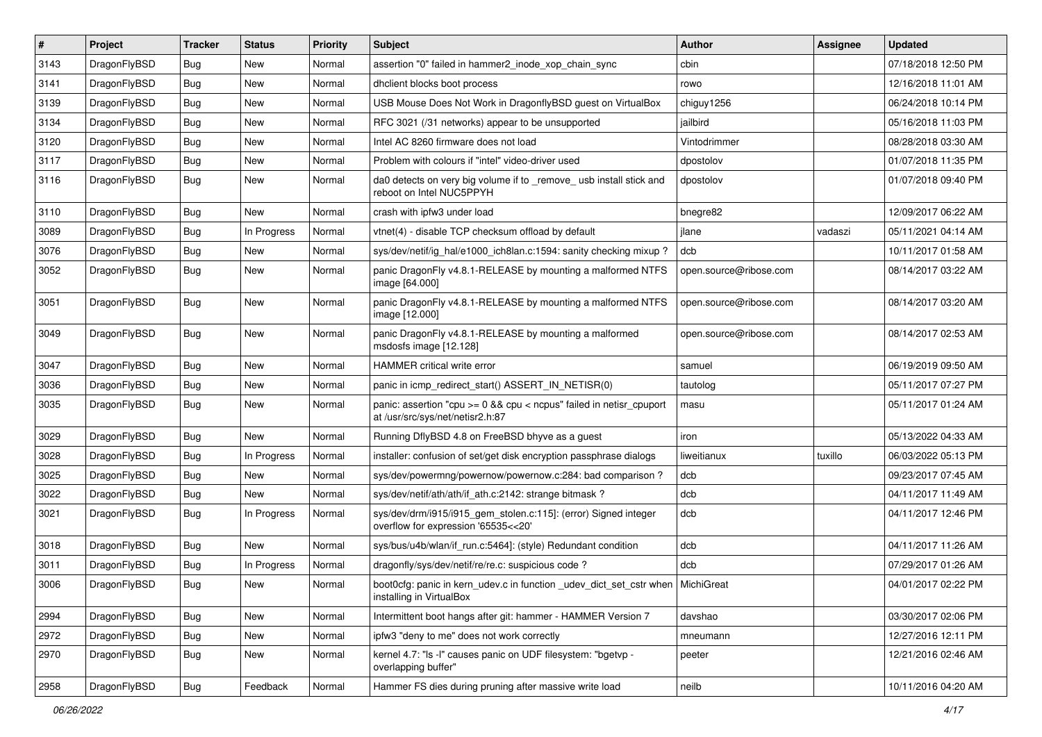| $\vert$ # | Project      | <b>Tracker</b> | <b>Status</b> | <b>Priority</b> | <b>Subject</b>                                                                                            | Author                 | Assignee | <b>Updated</b>      |
|-----------|--------------|----------------|---------------|-----------------|-----------------------------------------------------------------------------------------------------------|------------------------|----------|---------------------|
| 3143      | DragonFlyBSD | <b>Bug</b>     | <b>New</b>    | Normal          | assertion "0" failed in hammer2_inode_xop_chain_sync                                                      | cbin                   |          | 07/18/2018 12:50 PM |
| 3141      | DragonFlyBSD | <b>Bug</b>     | <b>New</b>    | Normal          | dhclient blocks boot process                                                                              | rowo                   |          | 12/16/2018 11:01 AM |
| 3139      | DragonFlyBSD | <b>Bug</b>     | <b>New</b>    | Normal          | USB Mouse Does Not Work in DragonflyBSD guest on VirtualBox                                               | chiguy1256             |          | 06/24/2018 10:14 PM |
| 3134      | DragonFlyBSD | Bug            | <b>New</b>    | Normal          | RFC 3021 (/31 networks) appear to be unsupported                                                          | jailbird               |          | 05/16/2018 11:03 PM |
| 3120      | DragonFlyBSD | <b>Bug</b>     | <b>New</b>    | Normal          | Intel AC 8260 firmware does not load                                                                      | Vintodrimmer           |          | 08/28/2018 03:30 AM |
| 3117      | DragonFlyBSD | <b>Bug</b>     | <b>New</b>    | Normal          | Problem with colours if "intel" video-driver used                                                         | dpostolov              |          | 01/07/2018 11:35 PM |
| 3116      | DragonFlyBSD | Bug            | <b>New</b>    | Normal          | da0 detects on very big volume if to _remove_usb install stick and<br>reboot on Intel NUC5PPYH            | dpostolov              |          | 01/07/2018 09:40 PM |
| 3110      | DragonFlyBSD | <b>Bug</b>     | <b>New</b>    | Normal          | crash with ipfw3 under load                                                                               | bnegre82               |          | 12/09/2017 06:22 AM |
| 3089      | DragonFlyBSD | Bug            | In Progress   | Normal          | vtnet(4) - disable TCP checksum offload by default                                                        | jlane                  | vadaszi  | 05/11/2021 04:14 AM |
| 3076      | DragonFlyBSD | <b>Bug</b>     | <b>New</b>    | Normal          | sys/dev/netif/ig hal/e1000 ich8lan.c:1594: sanity checking mixup?                                         | dcb                    |          | 10/11/2017 01:58 AM |
| 3052      | DragonFlyBSD | Bug            | <b>New</b>    | Normal          | panic DragonFly v4.8.1-RELEASE by mounting a malformed NTFS<br>image [64.000]                             | open.source@ribose.com |          | 08/14/2017 03:22 AM |
| 3051      | DragonFlyBSD | Bug            | <b>New</b>    | Normal          | panic DragonFly v4.8.1-RELEASE by mounting a malformed NTFS<br>image [12.000]                             | open.source@ribose.com |          | 08/14/2017 03:20 AM |
| 3049      | DragonFlyBSD | <b>Bug</b>     | <b>New</b>    | Normal          | panic DragonFly v4.8.1-RELEASE by mounting a malformed<br>msdosfs image [12.128]                          | open.source@ribose.com |          | 08/14/2017 02:53 AM |
| 3047      | DragonFlyBSD | <b>Bug</b>     | <b>New</b>    | Normal          | HAMMER critical write error                                                                               | samuel                 |          | 06/19/2019 09:50 AM |
| 3036      | DragonFlyBSD | <b>Bug</b>     | <b>New</b>    | Normal          | panic in icmp redirect start() ASSERT IN NETISR(0)                                                        | tautolog               |          | 05/11/2017 07:27 PM |
| 3035      | DragonFlyBSD | Bug            | <b>New</b>    | Normal          | panic: assertion "cpu >= 0 && cpu < ncpus" failed in netisr_cpuport<br>at /usr/src/sys/net/netisr2.h:87   | masu                   |          | 05/11/2017 01:24 AM |
| 3029      | DragonFlyBSD | <b>Bug</b>     | New           | Normal          | Running DflyBSD 4.8 on FreeBSD bhyve as a guest                                                           | iron                   |          | 05/13/2022 04:33 AM |
| 3028      | DragonFlyBSD | Bug            | In Progress   | Normal          | installer: confusion of set/get disk encryption passphrase dialogs                                        | liweitianux            | tuxillo  | 06/03/2022 05:13 PM |
| 3025      | DragonFlyBSD | <b>Bug</b>     | <b>New</b>    | Normal          | sys/dev/powermng/powernow/powernow.c:284: bad comparison ?                                                | dcb                    |          | 09/23/2017 07:45 AM |
| 3022      | DragonFlyBSD | Bug            | <b>New</b>    | Normal          | sys/dev/netif/ath/ath/if_ath.c:2142: strange bitmask?                                                     | dcb                    |          | 04/11/2017 11:49 AM |
| 3021      | DragonFlyBSD | Bug            | In Progress   | Normal          | sys/dev/drm/i915/i915_gem_stolen.c:115]: (error) Signed integer<br>overflow for expression '65535<<20'    | dcb                    |          | 04/11/2017 12:46 PM |
| 3018      | DragonFlyBSD | Bug            | New           | Normal          | sys/bus/u4b/wlan/if_run.c:5464]: (style) Redundant condition                                              | dcb                    |          | 04/11/2017 11:26 AM |
| 3011      | DragonFlyBSD | <b>Bug</b>     | In Progress   | Normal          | dragonfly/sys/dev/netif/re/re.c: suspicious code?                                                         | dcb                    |          | 07/29/2017 01:26 AM |
| 3006      | DragonFlyBSD | Bug            | New           | Normal          | boot0cfg: panic in kern udev.c in function udev dict set cstr when MichiGreat<br>installing in VirtualBox |                        |          | 04/01/2017 02:22 PM |
| 2994      | DragonFlyBSD | Bug            | <b>New</b>    | Normal          | Intermittent boot hangs after git: hammer - HAMMER Version 7                                              | davshao                |          | 03/30/2017 02:06 PM |
| 2972      | DragonFlyBSD | Bug            | New           | Normal          | ipfw3 "deny to me" does not work correctly                                                                | mneumann               |          | 12/27/2016 12:11 PM |
| 2970      | DragonFlyBSD | <b>Bug</b>     | New           | Normal          | kernel 4.7: "Is -I" causes panic on UDF filesystem: "bgetvp -<br>overlapping buffer"                      | peeter                 |          | 12/21/2016 02:46 AM |
| 2958      | DragonFlyBSD | <b>Bug</b>     | Feedback      | Normal          | Hammer FS dies during pruning after massive write load                                                    | neilb                  |          | 10/11/2016 04:20 AM |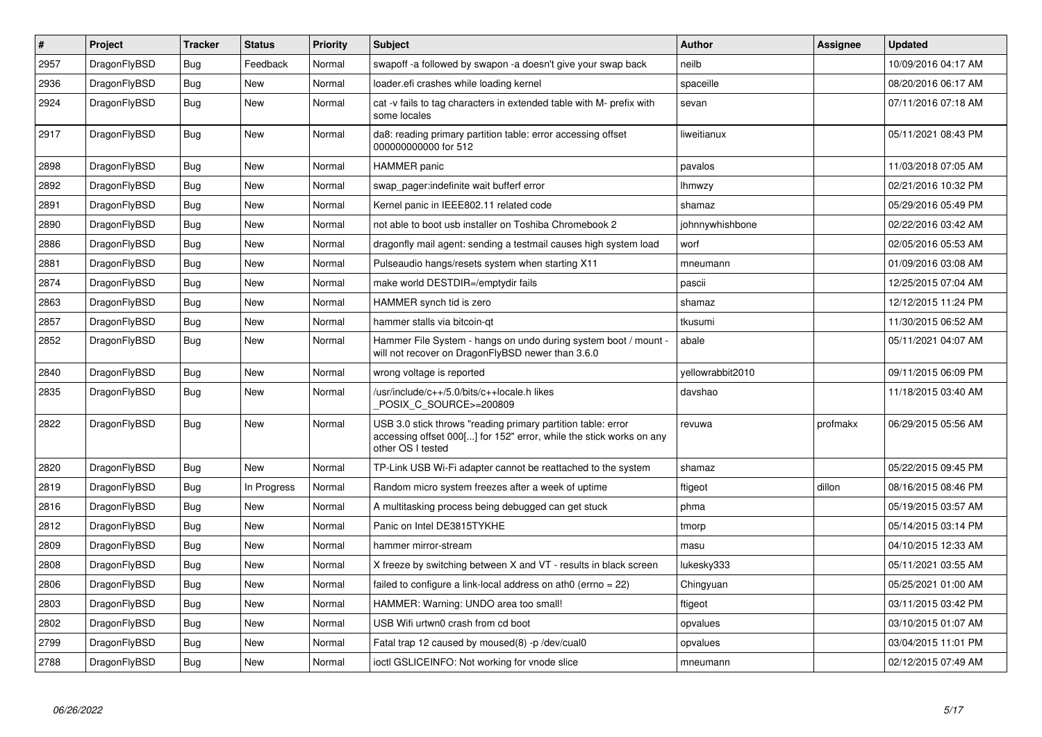| $\pmb{\#}$ | Project      | <b>Tracker</b> | <b>Status</b> | <b>Priority</b> | <b>Subject</b>                                                                                                                                           | <b>Author</b>    | Assignee | Updated             |
|------------|--------------|----------------|---------------|-----------------|----------------------------------------------------------------------------------------------------------------------------------------------------------|------------------|----------|---------------------|
| 2957       | DragonFlyBSD | Bug            | Feedback      | Normal          | swapoff -a followed by swapon -a doesn't give your swap back                                                                                             | neilb            |          | 10/09/2016 04:17 AM |
| 2936       | DragonFlyBSD | Bug            | New           | Normal          | loader.efi crashes while loading kernel                                                                                                                  | spaceille        |          | 08/20/2016 06:17 AM |
| 2924       | DragonFlyBSD | Bug            | New           | Normal          | cat -v fails to tag characters in extended table with M- prefix with<br>some locales                                                                     | sevan            |          | 07/11/2016 07:18 AM |
| 2917       | DragonFlyBSD | Bug            | New           | Normal          | da8: reading primary partition table: error accessing offset<br>000000000000 for 512                                                                     | liweitianux      |          | 05/11/2021 08:43 PM |
| 2898       | DragonFlyBSD | Bug            | <b>New</b>    | Normal          | <b>HAMMER</b> panic                                                                                                                                      | pavalos          |          | 11/03/2018 07:05 AM |
| 2892       | DragonFlyBSD | Bug            | <b>New</b>    | Normal          | swap pager:indefinite wait bufferf error                                                                                                                 | <b>Ihmwzy</b>    |          | 02/21/2016 10:32 PM |
| 2891       | DragonFlyBSD | Bug            | <b>New</b>    | Normal          | Kernel panic in IEEE802.11 related code                                                                                                                  | shamaz           |          | 05/29/2016 05:49 PM |
| 2890       | DragonFlyBSD | <b>Bug</b>     | <b>New</b>    | Normal          | not able to boot usb installer on Toshiba Chromebook 2                                                                                                   | johnnywhishbone  |          | 02/22/2016 03:42 AM |
| 2886       | DragonFlyBSD | Bug            | <b>New</b>    | Normal          | dragonfly mail agent: sending a testmail causes high system load                                                                                         | worf             |          | 02/05/2016 05:53 AM |
| 2881       | DragonFlyBSD | <b>Bug</b>     | <b>New</b>    | Normal          | Pulseaudio hangs/resets system when starting X11                                                                                                         | mneumann         |          | 01/09/2016 03:08 AM |
| 2874       | DragonFlyBSD | Bug            | New           | Normal          | make world DESTDIR=/emptydir fails                                                                                                                       | pascii           |          | 12/25/2015 07:04 AM |
| 2863       | DragonFlyBSD | <b>Bug</b>     | <b>New</b>    | Normal          | HAMMER synch tid is zero                                                                                                                                 | shamaz           |          | 12/12/2015 11:24 PM |
| 2857       | DragonFlyBSD | Bug            | <b>New</b>    | Normal          | hammer stalls via bitcoin-gt                                                                                                                             | tkusumi          |          | 11/30/2015 06:52 AM |
| 2852       | DragonFlyBSD | <b>Bug</b>     | <b>New</b>    | Normal          | Hammer File System - hangs on undo during system boot / mount -<br>will not recover on DragonFlyBSD newer than 3.6.0                                     | abale            |          | 05/11/2021 04:07 AM |
| 2840       | DragonFlyBSD | <b>Bug</b>     | <b>New</b>    | Normal          | wrong voltage is reported                                                                                                                                | yellowrabbit2010 |          | 09/11/2015 06:09 PM |
| 2835       | DragonFlyBSD | Bug            | <b>New</b>    | Normal          | /usr/include/c++/5.0/bits/c++locale.h likes<br>POSIX_C_SOURCE>=200809                                                                                    | davshao          |          | 11/18/2015 03:40 AM |
| 2822       | DragonFlyBSD | Bug            | <b>New</b>    | Normal          | USB 3.0 stick throws "reading primary partition table: error<br>accessing offset 000[] for 152" error, while the stick works on any<br>other OS I tested | revuwa           | profmakx | 06/29/2015 05:56 AM |
| 2820       | DragonFlyBSD | <b>Bug</b>     | <b>New</b>    | Normal          | TP-Link USB Wi-Fi adapter cannot be reattached to the system                                                                                             | shamaz           |          | 05/22/2015 09:45 PM |
| 2819       | DragonFlyBSD | Bug            | In Progress   | Normal          | Random micro system freezes after a week of uptime                                                                                                       | ftigeot          | dillon   | 08/16/2015 08:46 PM |
| 2816       | DragonFlyBSD | Bug            | <b>New</b>    | Normal          | A multitasking process being debugged can get stuck                                                                                                      | phma             |          | 05/19/2015 03:57 AM |
| 2812       | DragonFlyBSD | <b>Bug</b>     | <b>New</b>    | Normal          | Panic on Intel DE3815TYKHE                                                                                                                               | tmorp            |          | 05/14/2015 03:14 PM |
| 2809       | DragonFlyBSD | <b>Bug</b>     | <b>New</b>    | Normal          | hammer mirror-stream                                                                                                                                     | masu             |          | 04/10/2015 12:33 AM |
| 2808       | DragonFlyBSD | <b>Bug</b>     | <b>New</b>    | Normal          | X freeze by switching between X and VT - results in black screen                                                                                         | lukesky333       |          | 05/11/2021 03:55 AM |
| 2806       | DragonFlyBSD | <b>Bug</b>     | <b>New</b>    | Normal          | failed to configure a link-local address on ath0 (errno = 22)                                                                                            | Chingyuan        |          | 05/25/2021 01:00 AM |
| 2803       | DragonFlyBSD | Bug            | <b>New</b>    | Normal          | HAMMER: Warning: UNDO area too small!                                                                                                                    | ftigeot          |          | 03/11/2015 03:42 PM |
| 2802       | DragonFlyBSD | Bug            | <b>New</b>    | Normal          | USB Wifi urtwn0 crash from cd boot                                                                                                                       | opvalues         |          | 03/10/2015 01:07 AM |
| 2799       | DragonFlyBSD | Bug            | New           | Normal          | Fatal trap 12 caused by moused(8) -p/dev/cual0                                                                                                           | opvalues         |          | 03/04/2015 11:01 PM |
| 2788       | DragonFlyBSD | Bug            | <b>New</b>    | Normal          | ioctl GSLICEINFO: Not working for vnode slice                                                                                                            | mneumann         |          | 02/12/2015 07:49 AM |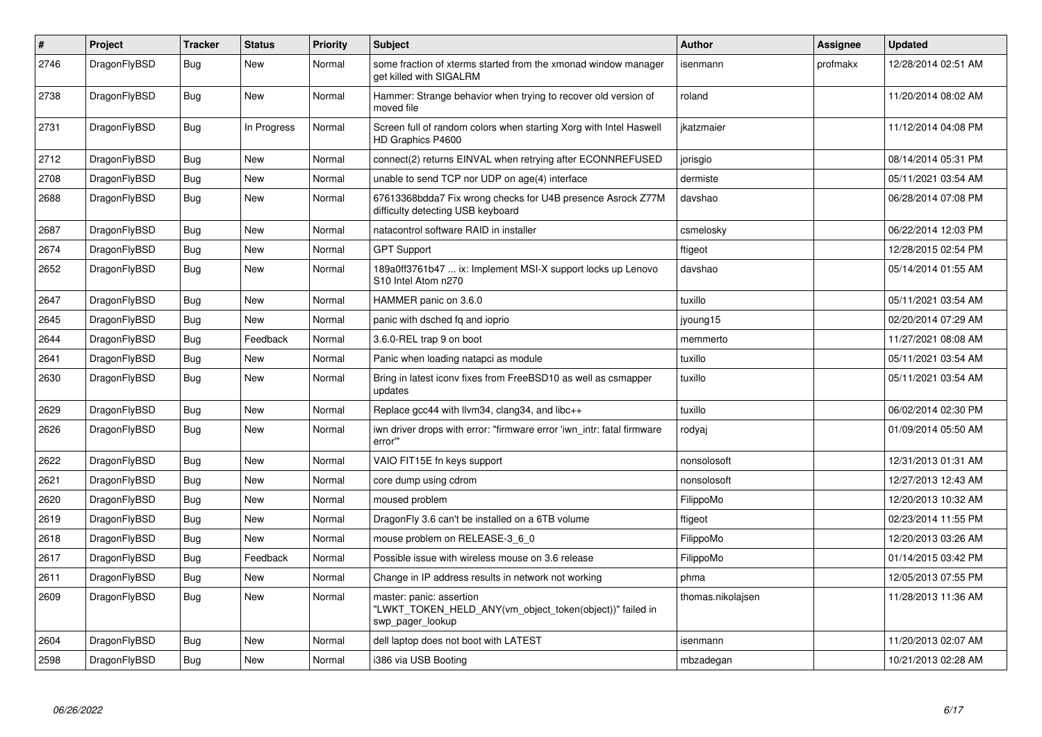| $\vert$ # | Project      | <b>Tracker</b> | <b>Status</b> | <b>Priority</b> | <b>Subject</b>                                                                                           | <b>Author</b>     | Assignee | <b>Updated</b>      |
|-----------|--------------|----------------|---------------|-----------------|----------------------------------------------------------------------------------------------------------|-------------------|----------|---------------------|
| 2746      | DragonFlyBSD | Bug            | <b>New</b>    | Normal          | some fraction of xterms started from the xmonad window manager<br>aet killed with SIGALRM                | isenmann          | profmakx | 12/28/2014 02:51 AM |
| 2738      | DragonFlyBSD | Bug            | <b>New</b>    | Normal          | Hammer: Strange behavior when trying to recover old version of<br>moved file                             | roland            |          | 11/20/2014 08:02 AM |
| 2731      | DragonFlyBSD | <b>Bug</b>     | In Progress   | Normal          | Screen full of random colors when starting Xorg with Intel Haswell<br>HD Graphics P4600                  | jkatzmaier        |          | 11/12/2014 04:08 PM |
| 2712      | DragonFlyBSD | Bug            | <b>New</b>    | Normal          | connect(2) returns EINVAL when retrying after ECONNREFUSED                                               | jorisgio          |          | 08/14/2014 05:31 PM |
| 2708      | DragonFlyBSD | <b>Bug</b>     | <b>New</b>    | Normal          | unable to send TCP nor UDP on age(4) interface                                                           | dermiste          |          | 05/11/2021 03:54 AM |
| 2688      | DragonFlyBSD | Bug            | New           | Normal          | 67613368bdda7 Fix wrong checks for U4B presence Asrock Z77M<br>difficulty detecting USB keyboard         | davshao           |          | 06/28/2014 07:08 PM |
| 2687      | DragonFlyBSD | <b>Bug</b>     | <b>New</b>    | Normal          | natacontrol software RAID in installer                                                                   | csmelosky         |          | 06/22/2014 12:03 PM |
| 2674      | DragonFlyBSD | Bug            | New           | Normal          | <b>GPT Support</b>                                                                                       | ftigeot           |          | 12/28/2015 02:54 PM |
| 2652      | DragonFlyBSD | <b>Bug</b>     | New           | Normal          | 189a0ff3761b47  ix: Implement MSI-X support locks up Lenovo<br>S10 Intel Atom n270                       | davshao           |          | 05/14/2014 01:55 AM |
| 2647      | DragonFlyBSD | Bug            | <b>New</b>    | Normal          | HAMMER panic on 3.6.0                                                                                    | tuxillo           |          | 05/11/2021 03:54 AM |
| 2645      | DragonFlyBSD | <b>Bug</b>     | <b>New</b>    | Normal          | panic with dsched fq and ioprio                                                                          | jyoung15          |          | 02/20/2014 07:29 AM |
| 2644      | DragonFlyBSD | Bug            | Feedback      | Normal          | 3.6.0-REL trap 9 on boot                                                                                 | memmerto          |          | 11/27/2021 08:08 AM |
| 2641      | DragonFlyBSD | Bug            | <b>New</b>    | Normal          | Panic when loading natapci as module                                                                     | tuxillo           |          | 05/11/2021 03:54 AM |
| 2630      | DragonFlyBSD | <b>Bug</b>     | <b>New</b>    | Normal          | Bring in latest iconv fixes from FreeBSD10 as well as csmapper<br>updates                                | tuxillo           |          | 05/11/2021 03:54 AM |
| 2629      | DragonFlyBSD | <b>Bug</b>     | <b>New</b>    | Normal          | Replace gcc44 with llvm34, clang34, and libc++                                                           | tuxillo           |          | 06/02/2014 02:30 PM |
| 2626      | DragonFlyBSD | <b>Bug</b>     | <b>New</b>    | Normal          | iwn driver drops with error: "firmware error 'iwn_intr: fatal firmware<br>error"                         | rodyaj            |          | 01/09/2014 05:50 AM |
| 2622      | DragonFlyBSD | Bug            | <b>New</b>    | Normal          | VAIO FIT15E fn keys support                                                                              | nonsolosoft       |          | 12/31/2013 01:31 AM |
| 2621      | DragonFlyBSD | <b>Bug</b>     | <b>New</b>    | Normal          | core dump using cdrom                                                                                    | nonsolosoft       |          | 12/27/2013 12:43 AM |
| 2620      | DragonFlyBSD | Bug            | <b>New</b>    | Normal          | moused problem                                                                                           | FilippoMo         |          | 12/20/2013 10:32 AM |
| 2619      | DragonFlyBSD | <b>Bug</b>     | <b>New</b>    | Normal          | DragonFly 3.6 can't be installed on a 6TB volume                                                         | ftigeot           |          | 02/23/2014 11:55 PM |
| 2618      | DragonFlyBSD | Bug            | New           | Normal          | mouse problem on RELEASE-3 6 0                                                                           | FilippoMo         |          | 12/20/2013 03:26 AM |
| 2617      | DragonFlyBSD | Bug            | Feedback      | Normal          | Possible issue with wireless mouse on 3.6 release                                                        | FilippoMo         |          | 01/14/2015 03:42 PM |
| 2611      | DragonFlyBSD | <b>Bug</b>     | New           | Normal          | Change in IP address results in network not working                                                      | phma              |          | 12/05/2013 07:55 PM |
| 2609      | DragonFlyBSD | Bug            | <b>New</b>    | Normal          | master: panic: assertion<br>"LWKT_TOKEN_HELD_ANY(vm_object_token(object))" failed in<br>swp_pager_lookup | thomas.nikolajsen |          | 11/28/2013 11:36 AM |
| 2604      | DragonFlyBSD | Bug            | <b>New</b>    | Normal          | dell laptop does not boot with LATEST                                                                    | isenmann          |          | 11/20/2013 02:07 AM |
| 2598      | DragonFlyBSD | Bug            | New           | Normal          | i386 via USB Booting                                                                                     | mbzadegan         |          | 10/21/2013 02:28 AM |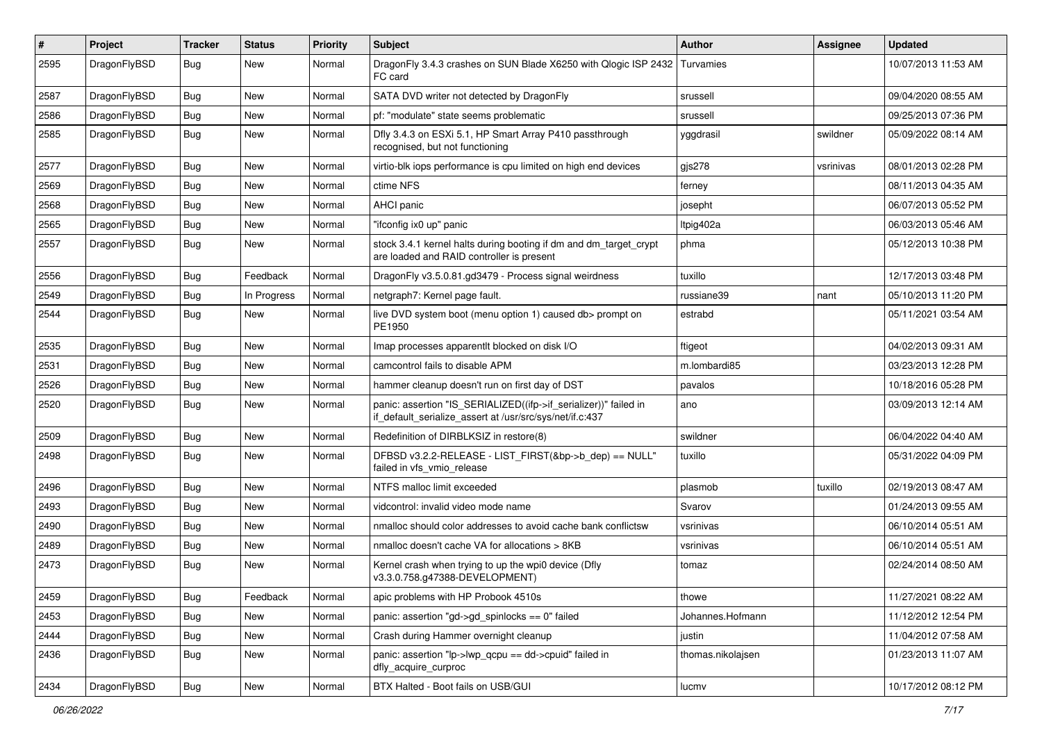| #    | Project      | <b>Tracker</b> | <b>Status</b> | <b>Priority</b> | <b>Subject</b>                                                                                                               | <b>Author</b>     | Assignee  | <b>Updated</b>      |
|------|--------------|----------------|---------------|-----------------|------------------------------------------------------------------------------------------------------------------------------|-------------------|-----------|---------------------|
| 2595 | DragonFlyBSD | Bug            | New           | Normal          | DragonFly 3.4.3 crashes on SUN Blade X6250 with Qlogic ISP 2432<br>FC card                                                   | Turvamies         |           | 10/07/2013 11:53 AM |
| 2587 | DragonFlyBSD | Bug            | <b>New</b>    | Normal          | SATA DVD writer not detected by DragonFly                                                                                    | srussell          |           | 09/04/2020 08:55 AM |
| 2586 | DragonFlyBSD | <b>Bug</b>     | New           | Normal          | pf: "modulate" state seems problematic                                                                                       | srussell          |           | 09/25/2013 07:36 PM |
| 2585 | DragonFlyBSD | Bug            | New           | Normal          | Dfly 3.4.3 on ESXi 5.1, HP Smart Array P410 passthrough<br>recognised, but not functioning                                   | yggdrasil         | swildner  | 05/09/2022 08:14 AM |
| 2577 | DragonFlyBSD | Bug            | New           | Normal          | virtio-blk iops performance is cpu limited on high end devices                                                               | gjs278            | vsrinivas | 08/01/2013 02:28 PM |
| 2569 | DragonFlyBSD | <b>Bug</b>     | New           | Normal          | ctime NFS                                                                                                                    | ferney            |           | 08/11/2013 04:35 AM |
| 2568 | DragonFlyBSD | <b>Bug</b>     | <b>New</b>    | Normal          | <b>AHCI</b> panic                                                                                                            | josepht           |           | 06/07/2013 05:52 PM |
| 2565 | DragonFlyBSD | Bug            | New           | Normal          | "ifconfig ix0 up" panic                                                                                                      | ltpig402a         |           | 06/03/2013 05:46 AM |
| 2557 | DragonFlyBSD | <b>Bug</b>     | <b>New</b>    | Normal          | stock 3.4.1 kernel halts during booting if dm and dm_target_crypt<br>are loaded and RAID controller is present               | phma              |           | 05/12/2013 10:38 PM |
| 2556 | DragonFlyBSD | Bug            | Feedback      | Normal          | DragonFly v3.5.0.81.gd3479 - Process signal weirdness                                                                        | tuxillo           |           | 12/17/2013 03:48 PM |
| 2549 | DragonFlyBSD | <b>Bug</b>     | In Progress   | Normal          | netgraph7: Kernel page fault.                                                                                                | russiane39        | nant      | 05/10/2013 11:20 PM |
| 2544 | DragonFlyBSD | Bug            | New           | Normal          | live DVD system boot (menu option 1) caused db> prompt on<br>PE1950                                                          | estrabd           |           | 05/11/2021 03:54 AM |
| 2535 | DragonFlyBSD | Bug            | <b>New</b>    | Normal          | Imap processes apparentlt blocked on disk I/O                                                                                | ftigeot           |           | 04/02/2013 09:31 AM |
| 2531 | DragonFlyBSD | Bug            | New           | Normal          | camcontrol fails to disable APM                                                                                              | m.lombardi85      |           | 03/23/2013 12:28 PM |
| 2526 | DragonFlyBSD | <b>Bug</b>     | New           | Normal          | hammer cleanup doesn't run on first day of DST                                                                               | pavalos           |           | 10/18/2016 05:28 PM |
| 2520 | DragonFlyBSD | <b>Bug</b>     | New           | Normal          | panic: assertion "IS_SERIALIZED((ifp->if_serializer))" failed in<br>if_default_serialize_assert at /usr/src/sys/net/if.c:437 | ano               |           | 03/09/2013 12:14 AM |
| 2509 | DragonFlyBSD | Bug            | New           | Normal          | Redefinition of DIRBLKSIZ in restore(8)                                                                                      | swildner          |           | 06/04/2022 04:40 AM |
| 2498 | DragonFlyBSD | <b>Bug</b>     | New           | Normal          | DFBSD v3.2.2-RELEASE - LIST_FIRST(&bp->b_dep) == NULL"<br>failed in vfs_vmio_release                                         | tuxillo           |           | 05/31/2022 04:09 PM |
| 2496 | DragonFlyBSD | Bug            | <b>New</b>    | Normal          | NTFS malloc limit exceeded                                                                                                   | plasmob           | tuxillo   | 02/19/2013 08:47 AM |
| 2493 | DragonFlyBSD | Bug            | New           | Normal          | vidcontrol: invalid video mode name                                                                                          | Svarov            |           | 01/24/2013 09:55 AM |
| 2490 | DragonFlyBSD | <b>Bug</b>     | <b>New</b>    | Normal          | nmalloc should color addresses to avoid cache bank conflictsw                                                                | vsrinivas         |           | 06/10/2014 05:51 AM |
| 2489 | DragonFlyBSD | <b>Bug</b>     | New           | Normal          | nmalloc doesn't cache VA for allocations > 8KB                                                                               | vsrinivas         |           | 06/10/2014 05:51 AM |
| 2473 | DragonFlyBSD | Bug            | New           | Normal          | Kernel crash when trying to up the wpi0 device (Dfly<br>v3.3.0.758.g47388-DEVELOPMENT)                                       | tomaz             |           | 02/24/2014 08:50 AM |
| 2459 | DragonFlyBSD | <b>Bug</b>     | Feedback      | Normal          | apic problems with HP Probook 4510s                                                                                          | thowe             |           | 11/27/2021 08:22 AM |
| 2453 | DragonFlyBSD | <b>Bug</b>     | New           | Normal          | panic: assertion "gd->gd_spinlocks == 0" failed                                                                              | Johannes.Hofmann  |           | 11/12/2012 12:54 PM |
| 2444 | DragonFlyBSD | Bug            | <b>New</b>    | Normal          | Crash during Hammer overnight cleanup                                                                                        | justin            |           | 11/04/2012 07:58 AM |
| 2436 | DragonFlyBSD | <b>Bug</b>     | New           | Normal          | panic: assertion "lp->lwp_qcpu == dd->cpuid" failed in<br>dfly_acquire_curproc                                               | thomas.nikolajsen |           | 01/23/2013 11:07 AM |
| 2434 | DragonFlyBSD | <b>Bug</b>     | New           | Normal          | BTX Halted - Boot fails on USB/GUI                                                                                           | lucmv             |           | 10/17/2012 08:12 PM |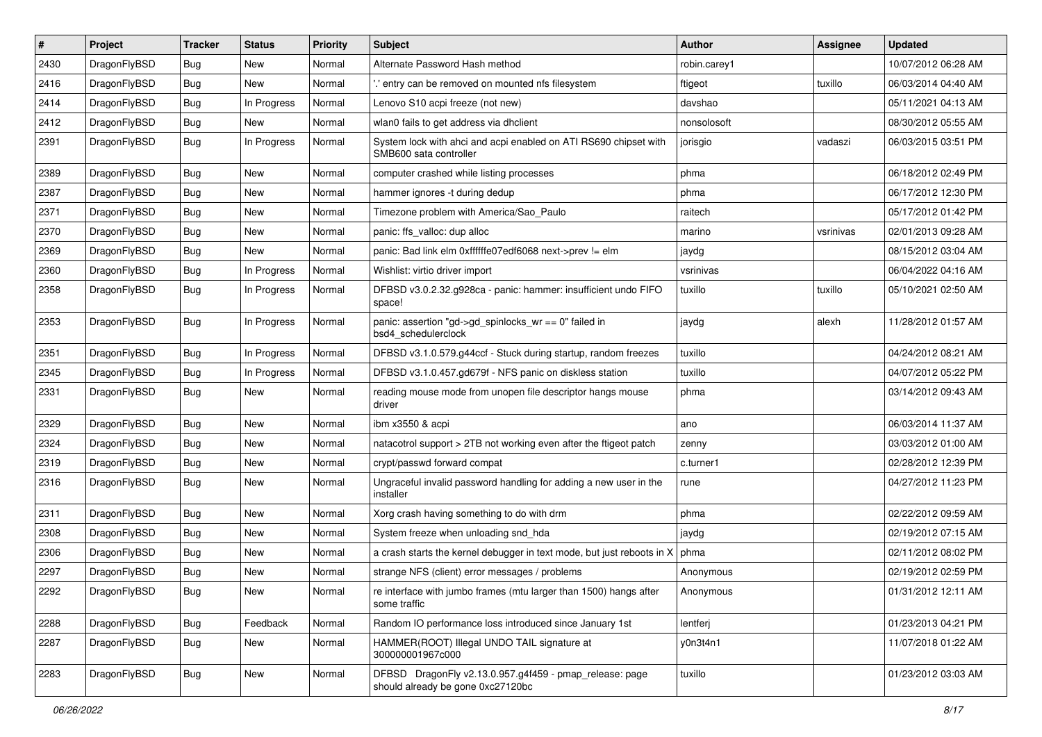| $\pmb{\#}$ | Project      | <b>Tracker</b> | <b>Status</b> | <b>Priority</b> | <b>Subject</b>                                                                               | <b>Author</b> | <b>Assignee</b> | <b>Updated</b>      |
|------------|--------------|----------------|---------------|-----------------|----------------------------------------------------------------------------------------------|---------------|-----------------|---------------------|
| 2430       | DragonFlyBSD | Bug            | <b>New</b>    | Normal          | Alternate Password Hash method                                                               | robin.carey1  |                 | 10/07/2012 06:28 AM |
| 2416       | DragonFlyBSD | Bug            | <b>New</b>    | Normal          | ' entry can be removed on mounted nfs filesystem                                             | ftigeot       | tuxillo         | 06/03/2014 04:40 AM |
| 2414       | DragonFlyBSD | <b>Bug</b>     | In Progress   | Normal          | Lenovo S10 acpi freeze (not new)                                                             | davshao       |                 | 05/11/2021 04:13 AM |
| 2412       | DragonFlyBSD | Bug            | <b>New</b>    | Normal          | wlan0 fails to get address via dhclient                                                      | nonsolosoft   |                 | 08/30/2012 05:55 AM |
| 2391       | DragonFlyBSD | <b>Bug</b>     | In Progress   | Normal          | System lock with ahci and acpi enabled on ATI RS690 chipset with<br>SMB600 sata controller   | jorisgio      | vadaszi         | 06/03/2015 03:51 PM |
| 2389       | DragonFlyBSD | Bug            | New           | Normal          | computer crashed while listing processes                                                     | phma          |                 | 06/18/2012 02:49 PM |
| 2387       | DragonFlyBSD | <b>Bug</b>     | New           | Normal          | hammer ignores -t during dedup                                                               | phma          |                 | 06/17/2012 12:30 PM |
| 2371       | DragonFlyBSD | Bug            | <b>New</b>    | Normal          | Timezone problem with America/Sao_Paulo                                                      | raitech       |                 | 05/17/2012 01:42 PM |
| 2370       | DragonFlyBSD | Bug            | <b>New</b>    | Normal          | panic: ffs_valloc: dup alloc                                                                 | marino        | vsrinivas       | 02/01/2013 09:28 AM |
| 2369       | DragonFlyBSD | <b>Bug</b>     | New           | Normal          | panic: Bad link elm 0xffffffe07edf6068 next->prev != elm                                     | jaydg         |                 | 08/15/2012 03:04 AM |
| 2360       | DragonFlyBSD | Bug            | In Progress   | Normal          | Wishlist: virtio driver import                                                               | vsrinivas     |                 | 06/04/2022 04:16 AM |
| 2358       | DragonFlyBSD | Bug            | In Progress   | Normal          | DFBSD v3.0.2.32.g928ca - panic: hammer: insufficient undo FIFO<br>space!                     | tuxillo       | tuxillo         | 05/10/2021 02:50 AM |
| 2353       | DragonFlyBSD | <b>Bug</b>     | In Progress   | Normal          | panic: assertion "gd->gd_spinlocks_wr == 0" failed in<br>bsd4 schedulerclock                 | jaydg         | alexh           | 11/28/2012 01:57 AM |
| 2351       | DragonFlyBSD | Bug            | In Progress   | Normal          | DFBSD v3.1.0.579.g44ccf - Stuck during startup, random freezes                               | tuxillo       |                 | 04/24/2012 08:21 AM |
| 2345       | DragonFlyBSD | <b>Bug</b>     | In Progress   | Normal          | DFBSD v3.1.0.457.gd679f - NFS panic on diskless station                                      | tuxillo       |                 | 04/07/2012 05:22 PM |
| 2331       | DragonFlyBSD | Bug            | New           | Normal          | reading mouse mode from unopen file descriptor hangs mouse<br>driver                         | phma          |                 | 03/14/2012 09:43 AM |
| 2329       | DragonFlyBSD | Bug            | <b>New</b>    | Normal          | ibm x3550 & acpi                                                                             | ano           |                 | 06/03/2014 11:37 AM |
| 2324       | DragonFlyBSD | <b>Bug</b>     | New           | Normal          | natacotrol support > 2TB not working even after the ftigeot patch                            | zenny         |                 | 03/03/2012 01:00 AM |
| 2319       | DragonFlyBSD | <b>Bug</b>     | <b>New</b>    | Normal          | crypt/passwd forward compat                                                                  | c.turner1     |                 | 02/28/2012 12:39 PM |
| 2316       | DragonFlyBSD | Bug            | New           | Normal          | Ungraceful invalid password handling for adding a new user in the<br>installer               | rune          |                 | 04/27/2012 11:23 PM |
| 2311       | DragonFlyBSD | <b>Bug</b>     | <b>New</b>    | Normal          | Xorg crash having something to do with drm                                                   | phma          |                 | 02/22/2012 09:59 AM |
| 2308       | DragonFlyBSD | <b>Bug</b>     | <b>New</b>    | Normal          | System freeze when unloading snd_hda                                                         | jaydg         |                 | 02/19/2012 07:15 AM |
| 2306       | DragonFlyBSD | Bug            | New           | Normal          | a crash starts the kernel debugger in text mode, but just reboots in $X \mid p$ hma          |               |                 | 02/11/2012 08:02 PM |
| 2297       | DragonFlyBSD | <b>Bug</b>     | New           | Normal          | strange NFS (client) error messages / problems                                               | Anonymous     |                 | 02/19/2012 02:59 PM |
| 2292       | DragonFlyBSD | Bug            | New           | Normal          | re interface with jumbo frames (mtu larger than 1500) hangs after<br>some traffic            | Anonymous     |                 | 01/31/2012 12:11 AM |
| 2288       | DragonFlyBSD | <b>Bug</b>     | Feedback      | Normal          | Random IO performance loss introduced since January 1st                                      | lentferj      |                 | 01/23/2013 04:21 PM |
| 2287       | DragonFlyBSD | <b>Bug</b>     | New           | Normal          | HAMMER(ROOT) Illegal UNDO TAIL signature at<br>300000001967c000                              | y0n3t4n1      |                 | 11/07/2018 01:22 AM |
| 2283       | DragonFlyBSD | <b>Bug</b>     | New           | Normal          | DFBSD DragonFly v2.13.0.957.g4f459 - pmap_release: page<br>should already be gone 0xc27120bc | tuxillo       |                 | 01/23/2012 03:03 AM |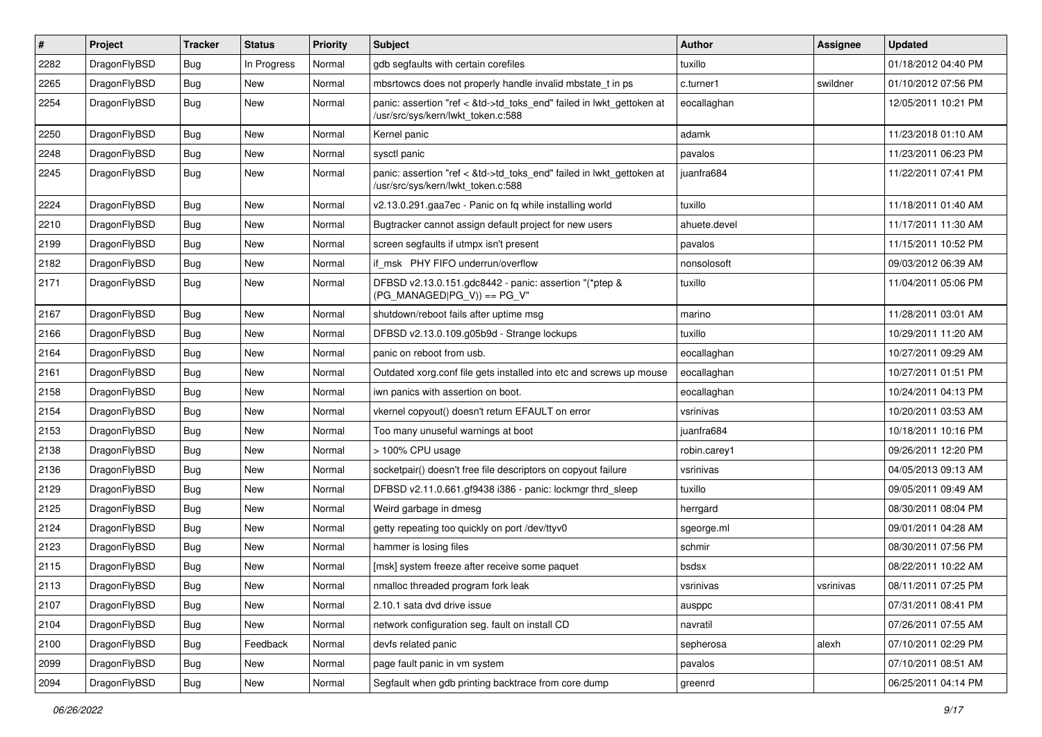| $\sharp$ | Project      | <b>Tracker</b> | <b>Status</b> | <b>Priority</b> | <b>Subject</b>                                                                                             | <b>Author</b> | <b>Assignee</b> | <b>Updated</b>      |
|----------|--------------|----------------|---------------|-----------------|------------------------------------------------------------------------------------------------------------|---------------|-----------------|---------------------|
| 2282     | DragonFlyBSD | <b>Bug</b>     | In Progress   | Normal          | gdb segfaults with certain corefiles                                                                       | tuxillo       |                 | 01/18/2012 04:40 PM |
| 2265     | DragonFlyBSD | <b>Bug</b>     | <b>New</b>    | Normal          | mbsrtowcs does not properly handle invalid mbstate_t in ps                                                 | c.turner1     | swildner        | 01/10/2012 07:56 PM |
| 2254     | DragonFlyBSD | <b>Bug</b>     | New           | Normal          | panic: assertion "ref < &td->td_toks_end" failed in lwkt_gettoken at<br>/usr/src/sys/kern/lwkt_token.c:588 | eocallaghan   |                 | 12/05/2011 10:21 PM |
| 2250     | DragonFlyBSD | <b>Bug</b>     | <b>New</b>    | Normal          | Kernel panic                                                                                               | adamk         |                 | 11/23/2018 01:10 AM |
| 2248     | DragonFlyBSD | <b>Bug</b>     | New           | Normal          | sysctl panic                                                                                               | pavalos       |                 | 11/23/2011 06:23 PM |
| 2245     | DragonFlyBSD | <b>Bug</b>     | <b>New</b>    | Normal          | panic: assertion "ref < &td->td_toks_end" failed in lwkt_gettoken at<br>/usr/src/sys/kern/lwkt_token.c:588 | juanfra684    |                 | 11/22/2011 07:41 PM |
| 2224     | DragonFlyBSD | <b>Bug</b>     | New           | Normal          | v2.13.0.291.gaa7ec - Panic on fq while installing world                                                    | tuxillo       |                 | 11/18/2011 01:40 AM |
| 2210     | DragonFlyBSD | <b>Bug</b>     | <b>New</b>    | Normal          | Bugtracker cannot assign default project for new users                                                     | ahuete.devel  |                 | 11/17/2011 11:30 AM |
| 2199     | DragonFlyBSD | <b>Bug</b>     | New           | Normal          | screen segfaults if utmpx isn't present                                                                    | pavalos       |                 | 11/15/2011 10:52 PM |
| 2182     | DragonFlyBSD | <b>Bug</b>     | New           | Normal          | if_msk PHY FIFO underrun/overflow                                                                          | nonsolosoft   |                 | 09/03/2012 06:39 AM |
| 2171     | DragonFlyBSD | <b>Bug</b>     | New           | Normal          | DFBSD v2.13.0.151.gdc8442 - panic: assertion "(*ptep &<br>$(PG_MANAGED PG_V)) == PG_V"$                    | tuxillo       |                 | 11/04/2011 05:06 PM |
| 2167     | DragonFlyBSD | <b>Bug</b>     | New           | Normal          | shutdown/reboot fails after uptime msg                                                                     | marino        |                 | 11/28/2011 03:01 AM |
| 2166     | DragonFlyBSD | <b>Bug</b>     | New           | Normal          | DFBSD v2.13.0.109.g05b9d - Strange lockups                                                                 | tuxillo       |                 | 10/29/2011 11:20 AM |
| 2164     | DragonFlyBSD | <b>Bug</b>     | New           | Normal          | panic on reboot from usb.                                                                                  | eocallaghan   |                 | 10/27/2011 09:29 AM |
| 2161     | DragonFlyBSD | <b>Bug</b>     | New           | Normal          | Outdated xorg.conf file gets installed into etc and screws up mouse                                        | eocallaghan   |                 | 10/27/2011 01:51 PM |
| 2158     | DragonFlyBSD | <b>Bug</b>     | New           | Normal          | iwn panics with assertion on boot.                                                                         | eocallaghan   |                 | 10/24/2011 04:13 PM |
| 2154     | DragonFlyBSD | <b>Bug</b>     | New           | Normal          | vkernel copyout() doesn't return EFAULT on error                                                           | vsrinivas     |                 | 10/20/2011 03:53 AM |
| 2153     | DragonFlyBSD | Bug            | New           | Normal          | Too many unuseful warnings at boot                                                                         | juanfra684    |                 | 10/18/2011 10:16 PM |
| 2138     | DragonFlyBSD | <b>Bug</b>     | New           | Normal          | > 100% CPU usage                                                                                           | robin.carey1  |                 | 09/26/2011 12:20 PM |
| 2136     | DragonFlyBSD | Bug            | <b>New</b>    | Normal          | socketpair() doesn't free file descriptors on copyout failure                                              | vsrinivas     |                 | 04/05/2013 09:13 AM |
| 2129     | DragonFlyBSD | Bug            | New           | Normal          | DFBSD v2.11.0.661.gf9438 i386 - panic: lockmgr thrd_sleep                                                  | tuxillo       |                 | 09/05/2011 09:49 AM |
| 2125     | DragonFlyBSD | Bug            | New           | Normal          | Weird garbage in dmesg                                                                                     | herrgard      |                 | 08/30/2011 08:04 PM |
| 2124     | DragonFlyBSD | Bug            | New           | Normal          | getty repeating too quickly on port /dev/ttyv0                                                             | sgeorge.ml    |                 | 09/01/2011 04:28 AM |
| 2123     | DragonFlyBSD | Bug            | <b>New</b>    | Normal          | hammer is losing files                                                                                     | schmir        |                 | 08/30/2011 07:56 PM |
| 2115     | DragonFlyBSD | Bug            | New           | Normal          | [msk] system freeze after receive some paquet                                                              | bsdsx         |                 | 08/22/2011 10:22 AM |
| 2113     | DragonFlyBSD | Bug            | New           | Normal          | nmalloc threaded program fork leak                                                                         | vsrinivas     | vsrinivas       | 08/11/2011 07:25 PM |
| 2107     | DragonFlyBSD | <b>Bug</b>     | New           | Normal          | 2.10.1 sata dvd drive issue                                                                                | ausppc        |                 | 07/31/2011 08:41 PM |
| 2104     | DragonFlyBSD | <b>Bug</b>     | New           | Normal          | network configuration seg. fault on install CD                                                             | navratil      |                 | 07/26/2011 07:55 AM |
| 2100     | DragonFlyBSD | Bug            | Feedback      | Normal          | devfs related panic                                                                                        | sepherosa     | alexh           | 07/10/2011 02:29 PM |
| 2099     | DragonFlyBSD | <b>Bug</b>     | New           | Normal          | page fault panic in vm system                                                                              | pavalos       |                 | 07/10/2011 08:51 AM |
| 2094     | DragonFlyBSD | <b>Bug</b>     | New           | Normal          | Segfault when gdb printing backtrace from core dump                                                        | greenrd       |                 | 06/25/2011 04:14 PM |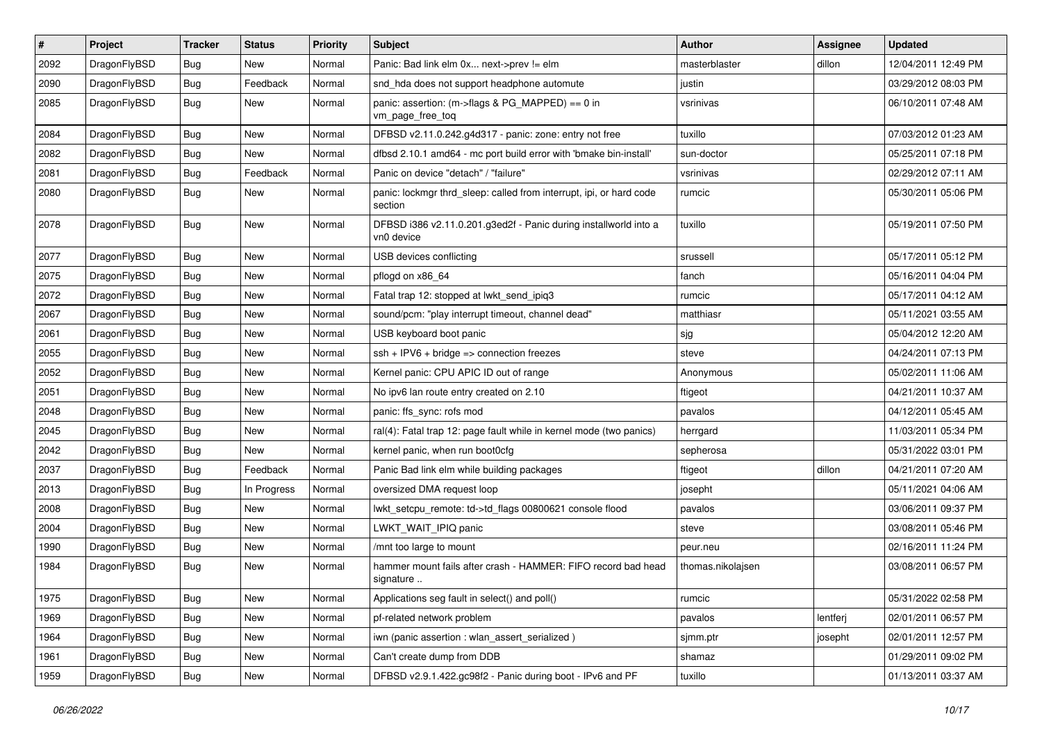| $\sharp$ | Project      | <b>Tracker</b> | <b>Status</b> | <b>Priority</b> | <b>Subject</b>                                                                 | <b>Author</b>     | Assignee | <b>Updated</b>      |
|----------|--------------|----------------|---------------|-----------------|--------------------------------------------------------------------------------|-------------------|----------|---------------------|
| 2092     | DragonFlyBSD | Bug            | New           | Normal          | Panic: Bad link elm 0x next->prev != elm                                       | masterblaster     | dillon   | 12/04/2011 12:49 PM |
| 2090     | DragonFlyBSD | Bug            | Feedback      | Normal          | snd_hda does not support headphone automute                                    | justin            |          | 03/29/2012 08:03 PM |
| 2085     | DragonFlyBSD | <b>Bug</b>     | New           | Normal          | panic: assertion: (m->flags & PG_MAPPED) == 0 in<br>vm page free tog           | vsrinivas         |          | 06/10/2011 07:48 AM |
| 2084     | DragonFlyBSD | Bug            | <b>New</b>    | Normal          | DFBSD v2.11.0.242.g4d317 - panic: zone: entry not free                         | tuxillo           |          | 07/03/2012 01:23 AM |
| 2082     | DragonFlyBSD | Bug            | New           | Normal          | dfbsd 2.10.1 amd64 - mc port build error with 'bmake bin-install'              | sun-doctor        |          | 05/25/2011 07:18 PM |
| 2081     | DragonFlyBSD | Bug            | Feedback      | Normal          | Panic on device "detach" / "failure"                                           | vsrinivas         |          | 02/29/2012 07:11 AM |
| 2080     | DragonFlyBSD | Bug            | New           | Normal          | panic: lockmgr thrd_sleep: called from interrupt, ipi, or hard code<br>section | rumcic            |          | 05/30/2011 05:06 PM |
| 2078     | DragonFlyBSD | <b>Bug</b>     | New           | Normal          | DFBSD i386 v2.11.0.201.g3ed2f - Panic during installworld into a<br>vn0 device | tuxillo           |          | 05/19/2011 07:50 PM |
| 2077     | DragonFlyBSD | Bug            | <b>New</b>    | Normal          | USB devices conflicting                                                        | srussell          |          | 05/17/2011 05:12 PM |
| 2075     | DragonFlyBSD | Bug            | <b>New</b>    | Normal          | pflogd on x86_64                                                               | fanch             |          | 05/16/2011 04:04 PM |
| 2072     | DragonFlyBSD | Bug            | New           | Normal          | Fatal trap 12: stopped at lwkt send ipig3                                      | rumcic            |          | 05/17/2011 04:12 AM |
| 2067     | DragonFlyBSD | Bug            | New           | Normal          | sound/pcm: "play interrupt timeout, channel dead"                              | matthiasr         |          | 05/11/2021 03:55 AM |
| 2061     | DragonFlyBSD | Bug            | New           | Normal          | USB keyboard boot panic                                                        | sjg               |          | 05/04/2012 12:20 AM |
| 2055     | DragonFlyBSD | Bug            | <b>New</b>    | Normal          | $ssh + IPV6 + bridge \Rightarrow connection freezes$                           | steve             |          | 04/24/2011 07:13 PM |
| 2052     | DragonFlyBSD | Bug            | <b>New</b>    | Normal          | Kernel panic: CPU APIC ID out of range                                         | Anonymous         |          | 05/02/2011 11:06 AM |
| 2051     | DragonFlyBSD | Bug            | <b>New</b>    | Normal          | No ipv6 lan route entry created on 2.10                                        | ftigeot           |          | 04/21/2011 10:37 AM |
| 2048     | DragonFlyBSD | Bug            | New           | Normal          | panic: ffs sync: rofs mod                                                      | pavalos           |          | 04/12/2011 05:45 AM |
| 2045     | DragonFlyBSD | Bug            | New           | Normal          | ral(4): Fatal trap 12: page fault while in kernel mode (two panics)            | herrgard          |          | 11/03/2011 05:34 PM |
| 2042     | DragonFlyBSD | Bug            | <b>New</b>    | Normal          | kernel panic, when run boot0cfg                                                | sepherosa         |          | 05/31/2022 03:01 PM |
| 2037     | DragonFlyBSD | Bug            | Feedback      | Normal          | Panic Bad link elm while building packages                                     | ftigeot           | dillon   | 04/21/2011 07:20 AM |
| 2013     | DragonFlyBSD | <b>Bug</b>     | In Progress   | Normal          | oversized DMA request loop                                                     | josepht           |          | 05/11/2021 04:06 AM |
| 2008     | DragonFlyBSD | <b>Bug</b>     | <b>New</b>    | Normal          | lwkt_setcpu_remote: td->td_flags 00800621 console flood                        | pavalos           |          | 03/06/2011 09:37 PM |
| 2004     | DragonFlyBSD | Bug            | <b>New</b>    | Normal          | LWKT_WAIT_IPIQ panic                                                           | steve             |          | 03/08/2011 05:46 PM |
| 1990     | DragonFlyBSD | Bug            | <b>New</b>    | Normal          | /mnt too large to mount                                                        | peur.neu          |          | 02/16/2011 11:24 PM |
| 1984     | DragonFlyBSD | Bug            | New           | Normal          | hammer mount fails after crash - HAMMER: FIFO record bad head<br>signature     | thomas.nikolajsen |          | 03/08/2011 06:57 PM |
| 1975     | DragonFlyBSD | <b>Bug</b>     | New           | Normal          | Applications seg fault in select() and poll()                                  | rumcic            |          | 05/31/2022 02:58 PM |
| 1969     | DragonFlyBSD | <b>Bug</b>     | New           | Normal          | pf-related network problem                                                     | pavalos           | lentferj | 02/01/2011 06:57 PM |
| 1964     | DragonFlyBSD | <b>Bug</b>     | New           | Normal          | iwn (panic assertion : wlan_assert_serialized)                                 | sjmm.ptr          | josepht  | 02/01/2011 12:57 PM |
| 1961     | DragonFlyBSD | <b>Bug</b>     | New           | Normal          | Can't create dump from DDB                                                     | shamaz            |          | 01/29/2011 09:02 PM |
| 1959     | DragonFlyBSD | <b>Bug</b>     | New           | Normal          | DFBSD v2.9.1.422.gc98f2 - Panic during boot - IPv6 and PF                      | tuxillo           |          | 01/13/2011 03:37 AM |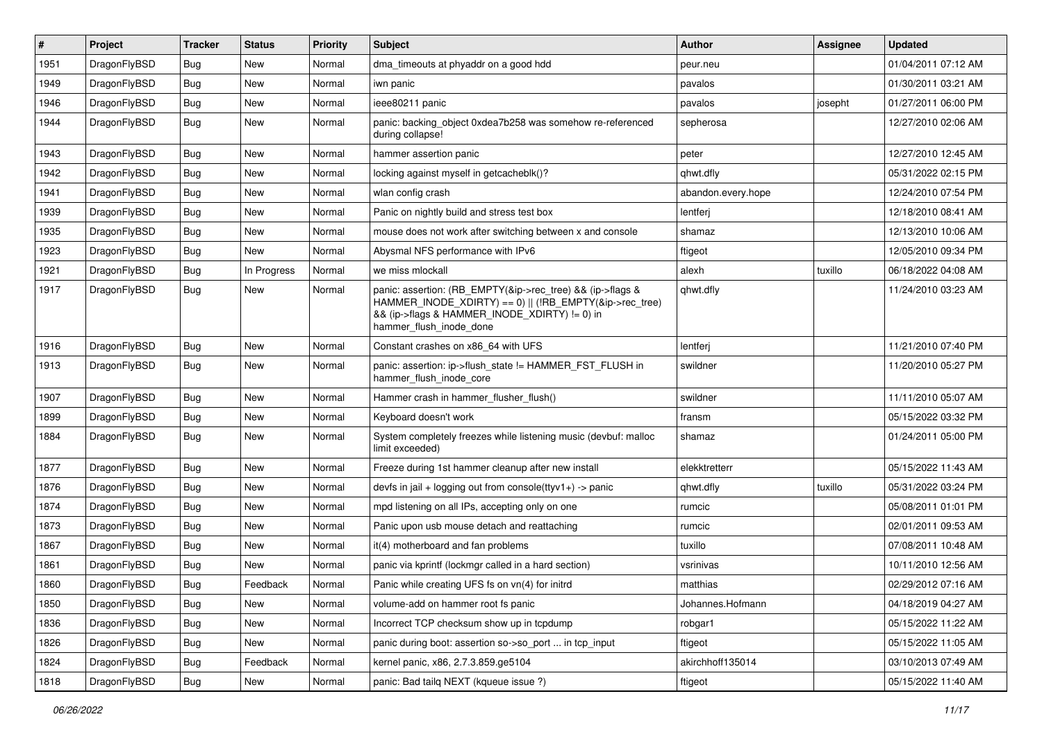| #    | Project      | <b>Tracker</b> | <b>Status</b> | <b>Priority</b> | <b>Subject</b>                                                                                                                                                                                    | <b>Author</b>      | Assignee | <b>Updated</b>      |
|------|--------------|----------------|---------------|-----------------|---------------------------------------------------------------------------------------------------------------------------------------------------------------------------------------------------|--------------------|----------|---------------------|
| 1951 | DragonFlyBSD | <b>Bug</b>     | <b>New</b>    | Normal          | dma_timeouts at phyaddr on a good hdd                                                                                                                                                             | peur.neu           |          | 01/04/2011 07:12 AM |
| 1949 | DragonFlyBSD | <b>Bug</b>     | <b>New</b>    | Normal          | iwn panic                                                                                                                                                                                         | pavalos            |          | 01/30/2011 03:21 AM |
| 1946 | DragonFlyBSD | Bug            | New           | Normal          | ieee80211 panic                                                                                                                                                                                   | pavalos            | josepht  | 01/27/2011 06:00 PM |
| 1944 | DragonFlyBSD | Bug            | New           | Normal          | panic: backing object 0xdea7b258 was somehow re-referenced<br>during collapse!                                                                                                                    | sepherosa          |          | 12/27/2010 02:06 AM |
| 1943 | DragonFlyBSD | Bug            | New           | Normal          | hammer assertion panic                                                                                                                                                                            | peter              |          | 12/27/2010 12:45 AM |
| 1942 | DragonFlyBSD | <b>Bug</b>     | New           | Normal          | locking against myself in getcacheblk()?                                                                                                                                                          | qhwt.dfly          |          | 05/31/2022 02:15 PM |
| 1941 | DragonFlyBSD | Bug            | New           | Normal          | wlan config crash                                                                                                                                                                                 | abandon.every.hope |          | 12/24/2010 07:54 PM |
| 1939 | DragonFlyBSD | Bug            | New           | Normal          | Panic on nightly build and stress test box                                                                                                                                                        | lentferj           |          | 12/18/2010 08:41 AM |
| 1935 | DragonFlyBSD | <b>Bug</b>     | New           | Normal          | mouse does not work after switching between x and console                                                                                                                                         | shamaz             |          | 12/13/2010 10:06 AM |
| 1923 | DragonFlyBSD | Bug            | New           | Normal          | Abysmal NFS performance with IPv6                                                                                                                                                                 | ftigeot            |          | 12/05/2010 09:34 PM |
| 1921 | DragonFlyBSD | Bug            | In Progress   | Normal          | we miss mlockall                                                                                                                                                                                  | alexh              | tuxillo  | 06/18/2022 04:08 AM |
| 1917 | DragonFlyBSD | Bug            | New           | Normal          | panic: assertion: (RB_EMPTY(&ip->rec_tree) && (ip->flags &<br>HAMMER_INODE_XDIRTY) == 0)    (!RB_EMPTY(&ip->rec_tree)<br>&& (ip->flags & HAMMER_INODE_XDIRTY) != 0) in<br>hammer_flush_inode_done | qhwt.dfly          |          | 11/24/2010 03:23 AM |
| 1916 | DragonFlyBSD | <b>Bug</b>     | <b>New</b>    | Normal          | Constant crashes on x86_64 with UFS                                                                                                                                                               | lentferj           |          | 11/21/2010 07:40 PM |
| 1913 | DragonFlyBSD | Bug            | New           | Normal          | panic: assertion: ip->flush_state != HAMMER_FST_FLUSH in<br>hammer flush inode core                                                                                                               | swildner           |          | 11/20/2010 05:27 PM |
| 1907 | DragonFlyBSD | Bug            | <b>New</b>    | Normal          | Hammer crash in hammer flusher flush()                                                                                                                                                            | swildner           |          | 11/11/2010 05:07 AM |
| 1899 | DragonFlyBSD | Bug            | New           | Normal          | Keyboard doesn't work                                                                                                                                                                             | fransm             |          | 05/15/2022 03:32 PM |
| 1884 | DragonFlyBSD | <b>Bug</b>     | New           | Normal          | System completely freezes while listening music (devbuf: malloc<br>limit exceeded)                                                                                                                | shamaz             |          | 01/24/2011 05:00 PM |
| 1877 | DragonFlyBSD | <b>Bug</b>     | New           | Normal          | Freeze during 1st hammer cleanup after new install                                                                                                                                                | elekktretterr      |          | 05/15/2022 11:43 AM |
| 1876 | DragonFlyBSD | Bug            | New           | Normal          | devfs in jail + logging out from console(ttyv1+) -> panic                                                                                                                                         | qhwt.dfly          | tuxillo  | 05/31/2022 03:24 PM |
| 1874 | DragonFlyBSD | <b>Bug</b>     | New           | Normal          | mpd listening on all IPs, accepting only on one                                                                                                                                                   | rumcic             |          | 05/08/2011 01:01 PM |
| 1873 | DragonFlyBSD | <b>Bug</b>     | New           | Normal          | Panic upon usb mouse detach and reattaching                                                                                                                                                       | rumcic             |          | 02/01/2011 09:53 AM |
| 1867 | DragonFlyBSD | Bug            | New           | Normal          | it(4) motherboard and fan problems                                                                                                                                                                | tuxillo            |          | 07/08/2011 10:48 AM |
| 1861 | DragonFlyBSD | Bug            | New           | Normal          | panic via kprintf (lockmgr called in a hard section)                                                                                                                                              | vsrinivas          |          | 10/11/2010 12:56 AM |
| 1860 | DragonFlyBSD | <b>Bug</b>     | Feedback      | Normal          | Panic while creating UFS fs on vn(4) for initrd                                                                                                                                                   | matthias           |          | 02/29/2012 07:16 AM |
| 1850 | DragonFlyBSD | Bug            | New           | Normal          | volume-add on hammer root fs panic                                                                                                                                                                | Johannes.Hofmann   |          | 04/18/2019 04:27 AM |
| 1836 | DragonFlyBSD | <b>Bug</b>     | New           | Normal          | Incorrect TCP checksum show up in tcpdump                                                                                                                                                         | robgar1            |          | 05/15/2022 11:22 AM |
| 1826 | DragonFlyBSD | Bug            | New           | Normal          | panic during boot: assertion so->so_port  in tcp_input                                                                                                                                            | ftigeot            |          | 05/15/2022 11:05 AM |
| 1824 | DragonFlyBSD | <b>Bug</b>     | Feedback      | Normal          | kernel panic, x86, 2.7.3.859.ge5104                                                                                                                                                               | akirchhoff135014   |          | 03/10/2013 07:49 AM |
| 1818 | DragonFlyBSD | Bug            | New           | Normal          | panic: Bad tailq NEXT (kqueue issue ?)                                                                                                                                                            | ftigeot            |          | 05/15/2022 11:40 AM |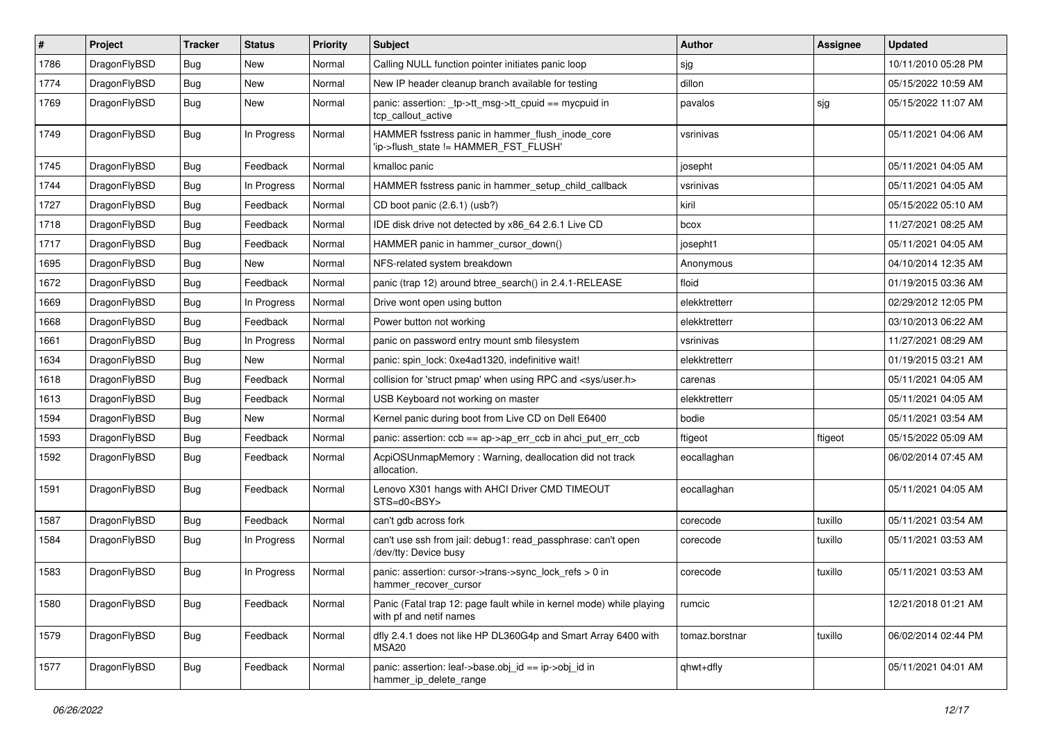| $\sharp$ | Project      | <b>Tracker</b> | <b>Status</b> | <b>Priority</b> | Subject                                                                                         | <b>Author</b>  | Assignee | <b>Updated</b>      |
|----------|--------------|----------------|---------------|-----------------|-------------------------------------------------------------------------------------------------|----------------|----------|---------------------|
| 1786     | DragonFlyBSD | <b>Bug</b>     | <b>New</b>    | Normal          | Calling NULL function pointer initiates panic loop                                              | sjg            |          | 10/11/2010 05:28 PM |
| 1774     | DragonFlyBSD | <b>Bug</b>     | New           | Normal          | New IP header cleanup branch available for testing                                              | dillon         |          | 05/15/2022 10:59 AM |
| 1769     | DragonFlyBSD | <b>Bug</b>     | New           | Normal          | panic: assertion: _tp->tt_msg->tt_cpuid == mycpuid in<br>tcp_callout_active                     | pavalos        | sjg      | 05/15/2022 11:07 AM |
| 1749     | DragonFlyBSD | <b>Bug</b>     | In Progress   | Normal          | HAMMER fsstress panic in hammer_flush_inode_core<br>'ip->flush state != HAMMER FST FLUSH'       | vsrinivas      |          | 05/11/2021 04:06 AM |
| 1745     | DragonFlyBSD | <b>Bug</b>     | Feedback      | Normal          | kmalloc panic                                                                                   | josepht        |          | 05/11/2021 04:05 AM |
| 1744     | DragonFlyBSD | <b>Bug</b>     | In Progress   | Normal          | HAMMER fsstress panic in hammer setup child callback                                            | vsrinivas      |          | 05/11/2021 04:05 AM |
| 1727     | DragonFlyBSD | <b>Bug</b>     | Feedback      | Normal          | CD boot panic (2.6.1) (usb?)                                                                    | kiril          |          | 05/15/2022 05:10 AM |
| 1718     | DragonFlyBSD | <b>Bug</b>     | Feedback      | Normal          | IDE disk drive not detected by x86_64 2.6.1 Live CD                                             | bcox           |          | 11/27/2021 08:25 AM |
| 1717     | DragonFlyBSD | <b>Bug</b>     | Feedback      | Normal          | HAMMER panic in hammer cursor down()                                                            | josepht1       |          | 05/11/2021 04:05 AM |
| 1695     | DragonFlyBSD | <b>Bug</b>     | New           | Normal          | NFS-related system breakdown                                                                    | Anonymous      |          | 04/10/2014 12:35 AM |
| 1672     | DragonFlyBSD | <b>Bug</b>     | Feedback      | Normal          | panic (trap 12) around btree_search() in 2.4.1-RELEASE                                          | floid          |          | 01/19/2015 03:36 AM |
| 1669     | DragonFlyBSD | <b>Bug</b>     | In Progress   | Normal          | Drive wont open using button                                                                    | elekktretterr  |          | 02/29/2012 12:05 PM |
| 1668     | DragonFlyBSD | <b>Bug</b>     | Feedback      | Normal          | Power button not working                                                                        | elekktretterr  |          | 03/10/2013 06:22 AM |
| 1661     | DragonFlyBSD | <b>Bug</b>     | In Progress   | Normal          | panic on password entry mount smb filesystem                                                    | vsrinivas      |          | 11/27/2021 08:29 AM |
| 1634     | DragonFlyBSD | <b>Bug</b>     | New           | Normal          | panic: spin lock: 0xe4ad1320, indefinitive wait!                                                | elekktretterr  |          | 01/19/2015 03:21 AM |
| 1618     | DragonFlyBSD | <b>Bug</b>     | Feedback      | Normal          | collision for 'struct pmap' when using RPC and <sys user.h=""></sys>                            | carenas        |          | 05/11/2021 04:05 AM |
| 1613     | DragonFlyBSD | <b>Bug</b>     | Feedback      | Normal          | USB Keyboard not working on master                                                              | elekktretterr  |          | 05/11/2021 04:05 AM |
| 1594     | DragonFlyBSD | <b>Bug</b>     | <b>New</b>    | Normal          | Kernel panic during boot from Live CD on Dell E6400                                             | bodie          |          | 05/11/2021 03:54 AM |
| 1593     | DragonFlyBSD | <b>Bug</b>     | Feedback      | Normal          | panic: assertion: $\cosh ==$ ap->ap err $\cosh$ in ahci put err $\cosh$                         | ftigeot        | ftigeot  | 05/15/2022 05:09 AM |
| 1592     | DragonFlyBSD | <b>Bug</b>     | Feedback      | Normal          | AcpiOSUnmapMemory: Warning, deallocation did not track<br>allocation.                           | eocallaghan    |          | 06/02/2014 07:45 AM |
| 1591     | DragonFlyBSD | <b>Bug</b>     | Feedback      | Normal          | Lenovo X301 hangs with AHCI Driver CMD TIMEOUT<br>STS=d0 <bsy></bsy>                            | eocallaghan    |          | 05/11/2021 04:05 AM |
| 1587     | DragonFlyBSD | <b>Bug</b>     | Feedback      | Normal          | can't gdb across fork                                                                           | corecode       | tuxillo  | 05/11/2021 03:54 AM |
| 1584     | DragonFlyBSD | <b>Bug</b>     | In Progress   | Normal          | can't use ssh from jail: debug1: read_passphrase: can't open<br>/dev/tty: Device busy           | corecode       | tuxillo  | 05/11/2021 03:53 AM |
| 1583     | DragonFlyBSD | <b>Bug</b>     | In Progress   | Normal          | panic: assertion: cursor->trans->sync_lock_refs > 0 in<br>hammer_recover_cursor                 | corecode       | tuxillo  | 05/11/2021 03:53 AM |
| 1580     | DragonFlyBSD | <b>Bug</b>     | Feedback      | Normal          | Panic (Fatal trap 12: page fault while in kernel mode) while playing<br>with pf and netif names | rumcic         |          | 12/21/2018 01:21 AM |
| 1579     | DragonFlyBSD | <b>Bug</b>     | Feedback      | Normal          | dfly 2.4.1 does not like HP DL360G4p and Smart Array 6400 with<br>MSA20                         | tomaz.borstnar | tuxillo  | 06/02/2014 02:44 PM |
| 1577     | DragonFlyBSD | <b>Bug</b>     | Feedback      | Normal          | panic: assertion: leaf->base.obj id == ip->obj id in<br>hammer_ip_delete_range                  | qhwt+dfly      |          | 05/11/2021 04:01 AM |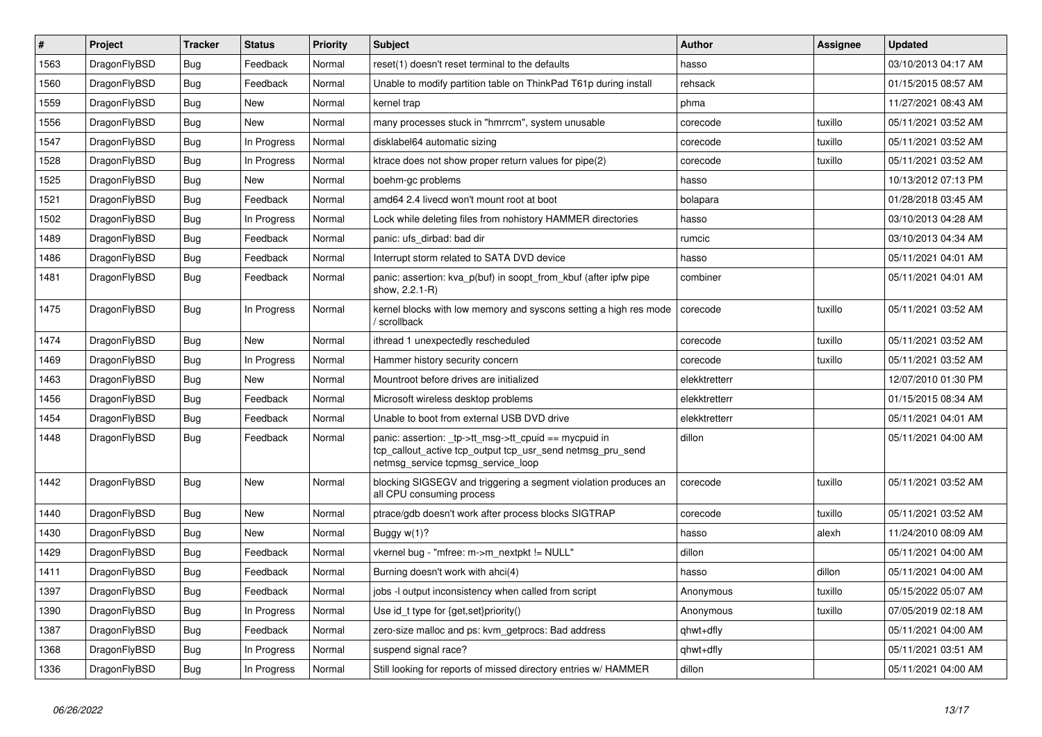| $\vert$ # | <b>Project</b> | <b>Tracker</b> | <b>Status</b> | <b>Priority</b> | <b>Subject</b>                                                                                                                                            | Author        | Assignee | <b>Updated</b>      |
|-----------|----------------|----------------|---------------|-----------------|-----------------------------------------------------------------------------------------------------------------------------------------------------------|---------------|----------|---------------------|
| 1563      | DragonFlyBSD   | Bug            | Feedback      | Normal          | reset(1) doesn't reset terminal to the defaults                                                                                                           | hasso         |          | 03/10/2013 04:17 AM |
| 1560      | DragonFlyBSD   | <b>Bug</b>     | Feedback      | Normal          | Unable to modify partition table on ThinkPad T61p during install                                                                                          | rehsack       |          | 01/15/2015 08:57 AM |
| 1559      | DragonFlyBSD   | <b>Bug</b>     | <b>New</b>    | Normal          | kernel trap                                                                                                                                               | phma          |          | 11/27/2021 08:43 AM |
| 1556      | DragonFlyBSD   | Bug            | New           | Normal          | many processes stuck in "hmrrcm", system unusable                                                                                                         | corecode      | tuxillo  | 05/11/2021 03:52 AM |
| 1547      | DragonFlyBSD   | Bug            | In Progress   | Normal          | disklabel64 automatic sizing                                                                                                                              | corecode      | tuxillo  | 05/11/2021 03:52 AM |
| 1528      | DragonFlyBSD   | <b>Bug</b>     | In Progress   | Normal          | ktrace does not show proper return values for pipe(2)                                                                                                     | corecode      | tuxillo  | 05/11/2021 03:52 AM |
| 1525      | DragonFlyBSD   | <b>Bug</b>     | <b>New</b>    | Normal          | boehm-gc problems                                                                                                                                         | hasso         |          | 10/13/2012 07:13 PM |
| 1521      | DragonFlyBSD   | Bug            | Feedback      | Normal          | amd64 2.4 livecd won't mount root at boot                                                                                                                 | bolapara      |          | 01/28/2018 03:45 AM |
| 1502      | DragonFlyBSD   | <b>Bug</b>     | In Progress   | Normal          | Lock while deleting files from nohistory HAMMER directories                                                                                               | hasso         |          | 03/10/2013 04:28 AM |
| 1489      | DragonFlyBSD   | <b>Bug</b>     | Feedback      | Normal          | panic: ufs dirbad: bad dir                                                                                                                                | rumcic        |          | 03/10/2013 04:34 AM |
| 1486      | DragonFlyBSD   | <b>Bug</b>     | Feedback      | Normal          | Interrupt storm related to SATA DVD device                                                                                                                | hasso         |          | 05/11/2021 04:01 AM |
| 1481      | DragonFlyBSD   | Bug            | Feedback      | Normal          | panic: assertion: kva p(buf) in soopt from kbuf (after ipfw pipe<br>show, 2.2.1-R)                                                                        | combiner      |          | 05/11/2021 04:01 AM |
| 1475      | DragonFlyBSD   | <b>Bug</b>     | In Progress   | Normal          | kernel blocks with low memory and syscons setting a high res mode<br>/ scrollback                                                                         | corecode      | tuxillo  | 05/11/2021 03:52 AM |
| 1474      | DragonFlyBSD   | Bug            | New           | Normal          | ithread 1 unexpectedly rescheduled                                                                                                                        | corecode      | tuxillo  | 05/11/2021 03:52 AM |
| 1469      | DragonFlyBSD   | <b>Bug</b>     | In Progress   | Normal          | Hammer history security concern                                                                                                                           | corecode      | tuxillo  | 05/11/2021 03:52 AM |
| 1463      | DragonFlyBSD   | Bug            | New           | Normal          | Mountroot before drives are initialized                                                                                                                   | elekktretterr |          | 12/07/2010 01:30 PM |
| 1456      | DragonFlyBSD   | Bug            | Feedback      | Normal          | Microsoft wireless desktop problems                                                                                                                       | elekktretterr |          | 01/15/2015 08:34 AM |
| 1454      | DragonFlyBSD   | Bug            | Feedback      | Normal          | Unable to boot from external USB DVD drive                                                                                                                | elekktretterr |          | 05/11/2021 04:01 AM |
| 1448      | DragonFlyBSD   | <b>Bug</b>     | Feedback      | Normal          | panic: assertion: _tp->tt_msg->tt_cpuid == mycpuid in<br>tcp callout active tcp output tcp usr send netmsg pru send<br>netmsg service tcpmsg service loop | dillon        |          | 05/11/2021 04:00 AM |
| 1442      | DragonFlyBSD   | Bug            | <b>New</b>    | Normal          | blocking SIGSEGV and triggering a segment violation produces an<br>all CPU consuming process                                                              | corecode      | tuxillo  | 05/11/2021 03:52 AM |
| 1440      | DragonFlyBSD   | Bug            | New           | Normal          | ptrace/gdb doesn't work after process blocks SIGTRAP                                                                                                      | corecode      | tuxillo  | 05/11/2021 03:52 AM |
| 1430      | DragonFlyBSD   | <b>Bug</b>     | <b>New</b>    | Normal          | Buggy $w(1)$ ?                                                                                                                                            | hasso         | alexh    | 11/24/2010 08:09 AM |
| 1429      | DragonFlyBSD   | <b>Bug</b>     | Feedback      | Normal          | vkernel bug - "mfree: m->m_nextpkt != NULL"                                                                                                               | dillon        |          | 05/11/2021 04:00 AM |
| 1411      | DragonFlyBSD   | <b>Bug</b>     | Feedback      | Normal          | Burning doesn't work with ahci(4)                                                                                                                         | hasso         | dillon   | 05/11/2021 04:00 AM |
| 1397      | DragonFlyBSD   | Bug            | Feedback      | Normal          | jobs -I output inconsistency when called from script                                                                                                      | Anonymous     | tuxillo  | 05/15/2022 05:07 AM |
| 1390      | DragonFlyBSD   | <b>Bug</b>     | In Progress   | Normal          | Use id_t type for {get,set}priority()                                                                                                                     | Anonymous     | tuxillo  | 07/05/2019 02:18 AM |
| 1387      | DragonFlyBSD   | Bug            | Feedback      | Normal          | zero-size malloc and ps: kvm_getprocs: Bad address                                                                                                        | qhwt+dfly     |          | 05/11/2021 04:00 AM |
| 1368      | DragonFlyBSD   | <b>Bug</b>     | In Progress   | Normal          | suspend signal race?                                                                                                                                      | qhwt+dfly     |          | 05/11/2021 03:51 AM |
| 1336      | DragonFlyBSD   | Bug            | In Progress   | Normal          | Still looking for reports of missed directory entries w/ HAMMER                                                                                           | dillon        |          | 05/11/2021 04:00 AM |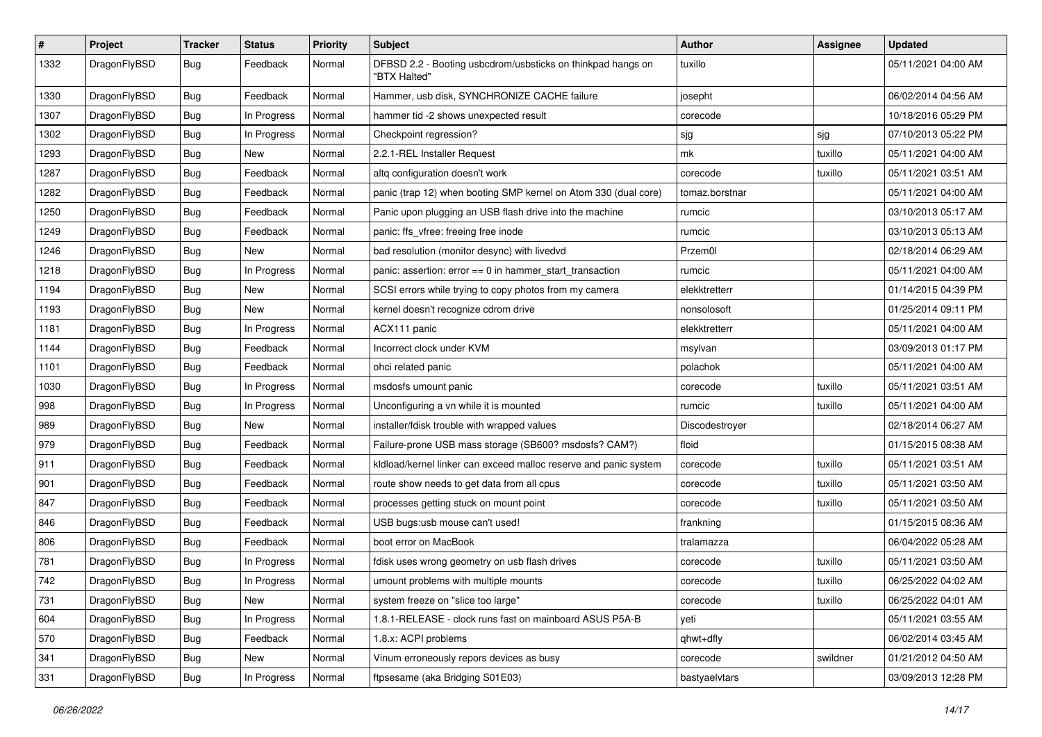| #    | Project      | <b>Tracker</b> | <b>Status</b> | <b>Priority</b> | Subject                                                                     | <b>Author</b>  | <b>Assignee</b> | <b>Updated</b>      |
|------|--------------|----------------|---------------|-----------------|-----------------------------------------------------------------------------|----------------|-----------------|---------------------|
| 1332 | DragonFlyBSD | <b>Bug</b>     | Feedback      | Normal          | DFBSD 2.2 - Booting usbcdrom/usbsticks on thinkpad hangs on<br>"BTX Halted" | tuxillo        |                 | 05/11/2021 04:00 AM |
| 1330 | DragonFlyBSD | <b>Bug</b>     | Feedback      | Normal          | Hammer, usb disk, SYNCHRONIZE CACHE failure                                 | josepht        |                 | 06/02/2014 04:56 AM |
| 1307 | DragonFlyBSD | <b>Bug</b>     | In Progress   | Normal          | hammer tid -2 shows unexpected result                                       | corecode       |                 | 10/18/2016 05:29 PM |
| 1302 | DragonFlyBSD | <b>Bug</b>     | In Progress   | Normal          | Checkpoint regression?                                                      | sjg            | sjg             | 07/10/2013 05:22 PM |
| 1293 | DragonFlyBSD | <b>Bug</b>     | <b>New</b>    | Normal          | 2.2.1-REL Installer Request                                                 | mk             | tuxillo         | 05/11/2021 04:00 AM |
| 1287 | DragonFlyBSD | <b>Bug</b>     | Feedback      | Normal          | altq configuration doesn't work                                             | corecode       | tuxillo         | 05/11/2021 03:51 AM |
| 1282 | DragonFlyBSD | <b>Bug</b>     | Feedback      | Normal          | panic (trap 12) when booting SMP kernel on Atom 330 (dual core)             | tomaz.borstnar |                 | 05/11/2021 04:00 AM |
| 1250 | DragonFlyBSD | <b>Bug</b>     | Feedback      | Normal          | Panic upon plugging an USB flash drive into the machine                     | rumcic         |                 | 03/10/2013 05:17 AM |
| 1249 | DragonFlyBSD | <b>Bug</b>     | Feedback      | Normal          | panic: ffs_vfree: freeing free inode                                        | rumcic         |                 | 03/10/2013 05:13 AM |
| 1246 | DragonFlyBSD | <b>Bug</b>     | New           | Normal          | bad resolution (monitor desync) with livedvd                                | Przem0l        |                 | 02/18/2014 06:29 AM |
| 1218 | DragonFlyBSD | <b>Bug</b>     | In Progress   | Normal          | panic: assertion: error == 0 in hammer_start_transaction                    | rumcic         |                 | 05/11/2021 04:00 AM |
| 1194 | DragonFlyBSD | <b>Bug</b>     | New           | Normal          | SCSI errors while trying to copy photos from my camera                      | elekktretterr  |                 | 01/14/2015 04:39 PM |
| 1193 | DragonFlyBSD | <b>Bug</b>     | New           | Normal          | kernel doesn't recognize cdrom drive                                        | nonsolosoft    |                 | 01/25/2014 09:11 PM |
| 1181 | DragonFlyBSD | <b>Bug</b>     | In Progress   | Normal          | ACX111 panic                                                                | elekktretterr  |                 | 05/11/2021 04:00 AM |
| 1144 | DragonFlyBSD | <b>Bug</b>     | Feedback      | Normal          | Incorrect clock under KVM                                                   | msylvan        |                 | 03/09/2013 01:17 PM |
| 1101 | DragonFlyBSD | Bug            | Feedback      | Normal          | ohci related panic                                                          | polachok       |                 | 05/11/2021 04:00 AM |
| 1030 | DragonFlyBSD | <b>Bug</b>     | In Progress   | Normal          | msdosfs umount panic                                                        | corecode       | tuxillo         | 05/11/2021 03:51 AM |
| 998  | DragonFlyBSD | Bug            | In Progress   | Normal          | Unconfiguring a vn while it is mounted                                      | rumcic         | tuxillo         | 05/11/2021 04:00 AM |
| 989  | DragonFlyBSD | <b>Bug</b>     | New           | Normal          | installer/fdisk trouble with wrapped values                                 | Discodestroyer |                 | 02/18/2014 06:27 AM |
| 979  | DragonFlyBSD | <b>Bug</b>     | Feedback      | Normal          | Failure-prone USB mass storage (SB600? msdosfs? CAM?)                       | floid          |                 | 01/15/2015 08:38 AM |
| 911  | DragonFlyBSD | <b>Bug</b>     | Feedback      | Normal          | kidload/kernel linker can exceed malloc reserve and panic system            | corecode       | tuxillo         | 05/11/2021 03:51 AM |
| 901  | DragonFlyBSD | <b>Bug</b>     | Feedback      | Normal          | route show needs to get data from all cpus                                  | corecode       | tuxillo         | 05/11/2021 03:50 AM |
| 847  | DragonFlyBSD | <b>Bug</b>     | Feedback      | Normal          | processes getting stuck on mount point                                      | corecode       | tuxillo         | 05/11/2021 03:50 AM |
| 846  | DragonFlyBSD | Bug            | Feedback      | Normal          | USB bugs:usb mouse can't used!                                              | frankning      |                 | 01/15/2015 08:36 AM |
| 806  | DragonFlyBSD | <b>Bug</b>     | Feedback      | Normal          | boot error on MacBook                                                       | tralamazza     |                 | 06/04/2022 05:28 AM |
| 781  | DragonFlyBSD | Bug            | In Progress   | Normal          | fdisk uses wrong geometry on usb flash drives                               | corecode       | tuxillo         | 05/11/2021 03:50 AM |
| 742  | DragonFlyBSD | <b>Bug</b>     | In Progress   | Normal          | umount problems with multiple mounts                                        | corecode       | tuxillo         | 06/25/2022 04:02 AM |
| 731  | DragonFlyBSD | <b>Bug</b>     | New           | Normal          | system freeze on "slice too large"                                          | corecode       | tuxillo         | 06/25/2022 04:01 AM |
| 604  | DragonFlyBSD | Bug            | In Progress   | Normal          | 1.8.1-RELEASE - clock runs fast on mainboard ASUS P5A-B                     | yeti           |                 | 05/11/2021 03:55 AM |
| 570  | DragonFlyBSD | <b>Bug</b>     | Feedback      | Normal          | 1.8.x: ACPI problems                                                        | qhwt+dfly      |                 | 06/02/2014 03:45 AM |
| 341  | DragonFlyBSD | <b>Bug</b>     | New           | Normal          | Vinum erroneously repors devices as busy                                    | corecode       | swildner        | 01/21/2012 04:50 AM |
| 331  | DragonFlyBSD | <b>Bug</b>     | In Progress   | Normal          | ftpsesame (aka Bridging S01E03)                                             | bastyaelvtars  |                 | 03/09/2013 12:28 PM |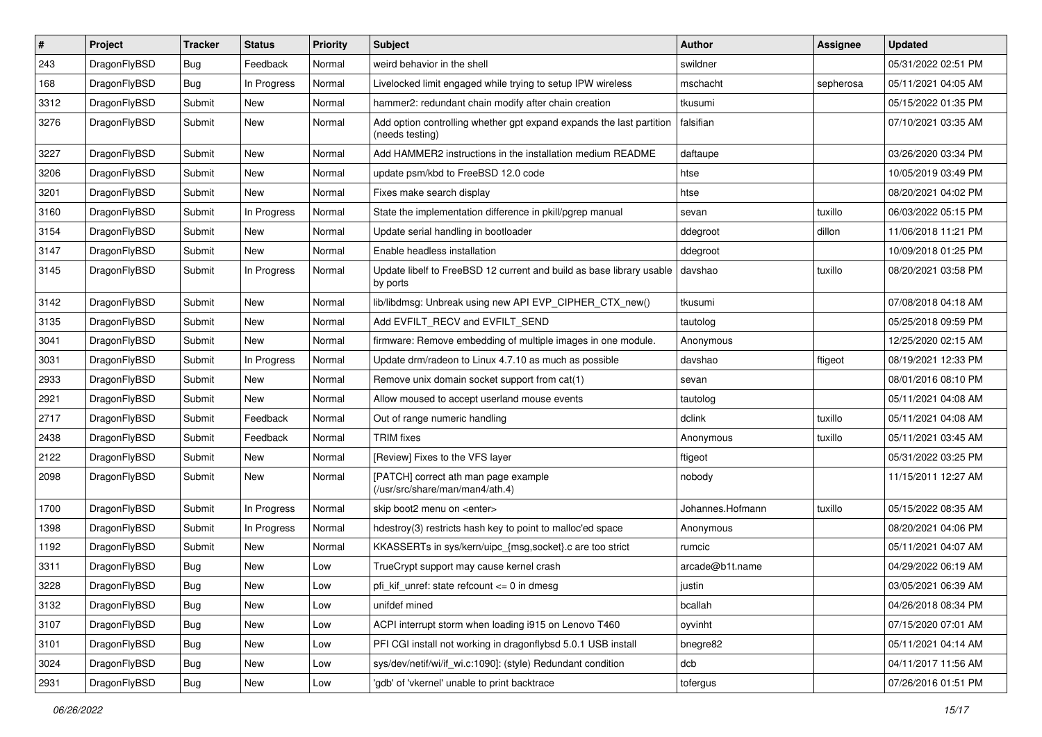| $\sharp$ | Project      | <b>Tracker</b> | <b>Status</b> | <b>Priority</b> | <b>Subject</b>                                                                          | <b>Author</b>    | Assignee  | <b>Updated</b>      |
|----------|--------------|----------------|---------------|-----------------|-----------------------------------------------------------------------------------------|------------------|-----------|---------------------|
| 243      | DragonFlyBSD | Bug            | Feedback      | Normal          | weird behavior in the shell                                                             | swildner         |           | 05/31/2022 02:51 PM |
| 168      | DragonFlyBSD | Bug            | In Progress   | Normal          | Livelocked limit engaged while trying to setup IPW wireless                             | mschacht         | sepherosa | 05/11/2021 04:05 AM |
| 3312     | DragonFlyBSD | Submit         | New           | Normal          | hammer2: redundant chain modify after chain creation                                    | tkusumi          |           | 05/15/2022 01:35 PM |
| 3276     | DragonFlyBSD | Submit         | <b>New</b>    | Normal          | Add option controlling whether gpt expand expands the last partition<br>(needs testing) | falsifian        |           | 07/10/2021 03:35 AM |
| 3227     | DragonFlyBSD | Submit         | New           | Normal          | Add HAMMER2 instructions in the installation medium README                              | daftaupe         |           | 03/26/2020 03:34 PM |
| 3206     | DragonFlyBSD | Submit         | <b>New</b>    | Normal          | update psm/kbd to FreeBSD 12.0 code                                                     | htse             |           | 10/05/2019 03:49 PM |
| 3201     | DragonFlyBSD | Submit         | <b>New</b>    | Normal          | Fixes make search display                                                               | htse             |           | 08/20/2021 04:02 PM |
| 3160     | DragonFlyBSD | Submit         | In Progress   | Normal          | State the implementation difference in pkill/pgrep manual                               | sevan            | tuxillo   | 06/03/2022 05:15 PM |
| 3154     | DragonFlyBSD | Submit         | <b>New</b>    | Normal          | Update serial handling in bootloader                                                    | ddegroot         | dillon    | 11/06/2018 11:21 PM |
| 3147     | DragonFlyBSD | Submit         | <b>New</b>    | Normal          | Enable headless installation                                                            | ddegroot         |           | 10/09/2018 01:25 PM |
| 3145     | DragonFlyBSD | Submit         | In Progress   | Normal          | Update libelf to FreeBSD 12 current and build as base library usable<br>by ports        | davshao          | tuxillo   | 08/20/2021 03:58 PM |
| 3142     | DragonFlyBSD | Submit         | <b>New</b>    | Normal          | lib/libdmsg: Unbreak using new API EVP CIPHER CTX new()                                 | tkusumi          |           | 07/08/2018 04:18 AM |
| 3135     | DragonFlyBSD | Submit         | <b>New</b>    | Normal          | Add EVFILT RECV and EVFILT SEND                                                         | tautolog         |           | 05/25/2018 09:59 PM |
| 3041     | DragonFlyBSD | Submit         | <b>New</b>    | Normal          | firmware: Remove embedding of multiple images in one module.                            | Anonymous        |           | 12/25/2020 02:15 AM |
| 3031     | DragonFlyBSD | Submit         | In Progress   | Normal          | Update drm/radeon to Linux 4.7.10 as much as possible                                   | davshao          | ftigeot   | 08/19/2021 12:33 PM |
| 2933     | DragonFlyBSD | Submit         | New           | Normal          | Remove unix domain socket support from cat(1)                                           | sevan            |           | 08/01/2016 08:10 PM |
| 2921     | DragonFlyBSD | Submit         | New           | Normal          | Allow moused to accept userland mouse events                                            | tautolog         |           | 05/11/2021 04:08 AM |
| 2717     | DragonFlyBSD | Submit         | Feedback      | Normal          | Out of range numeric handling                                                           | dclink           | tuxillo   | 05/11/2021 04:08 AM |
| 2438     | DragonFlyBSD | Submit         | Feedback      | Normal          | <b>TRIM</b> fixes                                                                       | Anonymous        | tuxillo   | 05/11/2021 03:45 AM |
| 2122     | DragonFlyBSD | Submit         | New           | Normal          | [Review] Fixes to the VFS layer                                                         | ftigeot          |           | 05/31/2022 03:25 PM |
| 2098     | DragonFlyBSD | Submit         | New           | Normal          | [PATCH] correct ath man page example<br>(/usr/src/share/man/man4/ath.4)                 | nobody           |           | 11/15/2011 12:27 AM |
| 1700     | DragonFlyBSD | Submit         | In Progress   | Normal          | skip boot2 menu on <enter></enter>                                                      | Johannes.Hofmann | tuxillo   | 05/15/2022 08:35 AM |
| 1398     | DragonFlyBSD | Submit         | In Progress   | Normal          | hdestroy(3) restricts hash key to point to malloc'ed space                              | Anonymous        |           | 08/20/2021 04:06 PM |
| 1192     | DragonFlyBSD | Submit         | New           | Normal          | KKASSERTs in sys/kern/uipc_{msg,socket}.c are too strict                                | rumcic           |           | 05/11/2021 04:07 AM |
| 3311     | DragonFlyBSD | Bug            | New           | Low             | TrueCrypt support may cause kernel crash                                                | arcade@b1t.name  |           | 04/29/2022 06:19 AM |
| 3228     | DragonFlyBSD | Bug            | <b>New</b>    | Low             | pfi_kif_unref: state refcount <= 0 in dmesg                                             | justin           |           | 03/05/2021 06:39 AM |
| 3132     | DragonFlyBSD | <b>Bug</b>     | <b>New</b>    | Low             | unifdef mined                                                                           | bcallah          |           | 04/26/2018 08:34 PM |
| 3107     | DragonFlyBSD | Bug            | <b>New</b>    | Low             | ACPI interrupt storm when loading i915 on Lenovo T460                                   | oyvinht          |           | 07/15/2020 07:01 AM |
| 3101     | DragonFlyBSD | Bug            | New           | Low             | PFI CGI install not working in dragonflybsd 5.0.1 USB install                           | bnegre82         |           | 05/11/2021 04:14 AM |
| 3024     | DragonFlyBSD | <b>Bug</b>     | New           | Low             | sys/dev/netif/wi/if_wi.c:1090]: (style) Redundant condition                             | dcb              |           | 04/11/2017 11:56 AM |
| 2931     | DragonFlyBSD | <b>Bug</b>     | New           | Low             | 'gdb' of 'vkernel' unable to print backtrace                                            | tofergus         |           | 07/26/2016 01:51 PM |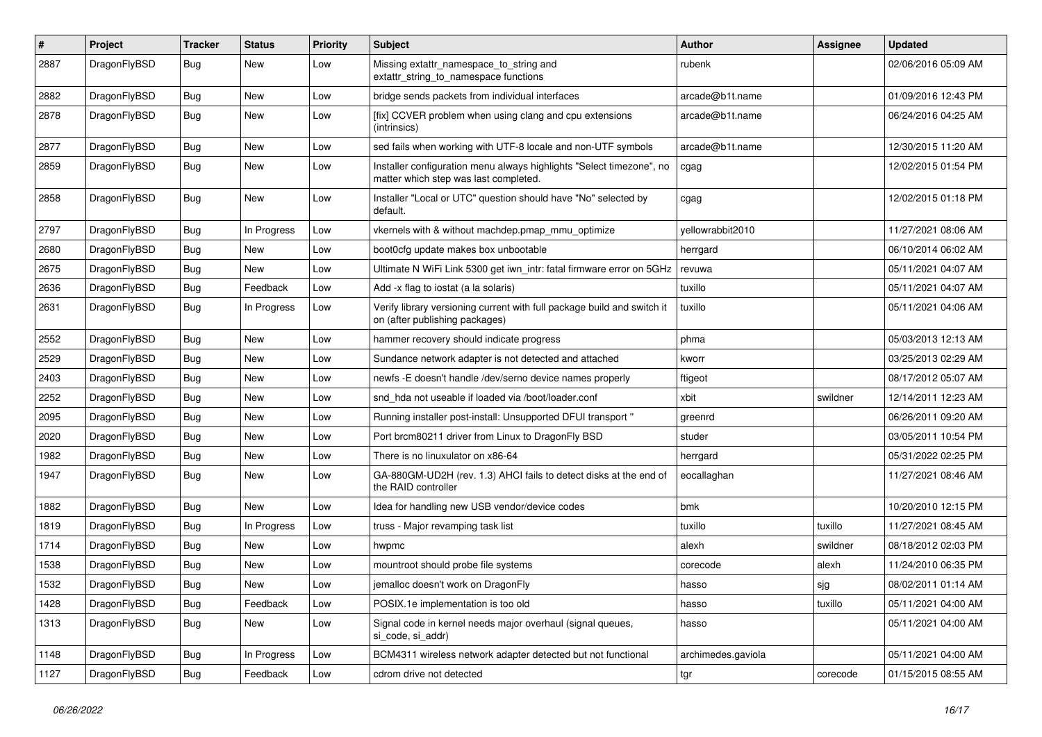| $\pmb{\#}$ | Project      | <b>Tracker</b> | <b>Status</b> | <b>Priority</b> | Subject                                                                                                       | <b>Author</b>      | Assignee | <b>Updated</b>      |
|------------|--------------|----------------|---------------|-----------------|---------------------------------------------------------------------------------------------------------------|--------------------|----------|---------------------|
| 2887       | DragonFlyBSD | Bug            | New           | Low             | Missing extattr_namespace_to_string and<br>extattr_string_to_namespace functions                              | rubenk             |          | 02/06/2016 05:09 AM |
| 2882       | DragonFlyBSD | Bug            | <b>New</b>    | Low             | bridge sends packets from individual interfaces                                                               | arcade@b1t.name    |          | 01/09/2016 12:43 PM |
| 2878       | DragonFlyBSD | Bug            | <b>New</b>    | Low             | [fix] CCVER problem when using clang and cpu extensions<br>(intrinsics)                                       | arcade@b1t.name    |          | 06/24/2016 04:25 AM |
| 2877       | DragonFlyBSD | Bug            | <b>New</b>    | Low             | sed fails when working with UTF-8 locale and non-UTF symbols                                                  | arcade@b1t.name    |          | 12/30/2015 11:20 AM |
| 2859       | DragonFlyBSD | Bug            | New           | Low             | Installer configuration menu always highlights "Select timezone", no<br>matter which step was last completed. | cgag               |          | 12/02/2015 01:54 PM |
| 2858       | DragonFlyBSD | Bug            | New           | Low             | Installer "Local or UTC" question should have "No" selected by<br>default.                                    | cgag               |          | 12/02/2015 01:18 PM |
| 2797       | DragonFlyBSD | <b>Bug</b>     | In Progress   | Low             | vkernels with & without machdep.pmap_mmu_optimize                                                             | yellowrabbit2010   |          | 11/27/2021 08:06 AM |
| 2680       | DragonFlyBSD | Bug            | New           | Low             | boot0cfg update makes box unbootable                                                                          | herrgard           |          | 06/10/2014 06:02 AM |
| 2675       | DragonFlyBSD | <b>Bug</b>     | New           | Low             | Ultimate N WiFi Link 5300 get iwn_intr: fatal firmware error on 5GHz                                          | revuwa             |          | 05/11/2021 04:07 AM |
| 2636       | DragonFlyBSD | <b>Bug</b>     | Feedback      | Low             | Add -x flag to iostat (a la solaris)                                                                          | tuxillo            |          | 05/11/2021 04:07 AM |
| 2631       | DragonFlyBSD | Bug            | In Progress   | Low             | Verify library versioning current with full package build and switch it<br>on (after publishing packages)     | tuxillo            |          | 05/11/2021 04:06 AM |
| 2552       | DragonFlyBSD | Bug            | <b>New</b>    | Low             | hammer recovery should indicate progress                                                                      | phma               |          | 05/03/2013 12:13 AM |
| 2529       | DragonFlyBSD | Bug            | <b>New</b>    | Low             | Sundance network adapter is not detected and attached                                                         | kworr              |          | 03/25/2013 02:29 AM |
| 2403       | DragonFlyBSD | Bug            | <b>New</b>    | Low             | newfs -E doesn't handle /dev/serno device names properly                                                      | ftigeot            |          | 08/17/2012 05:07 AM |
| 2252       | DragonFlyBSD | Bug            | <b>New</b>    | Low             | snd hda not useable if loaded via /boot/loader.conf                                                           | xbit               | swildner | 12/14/2011 12:23 AM |
| 2095       | DragonFlyBSD | Bug            | New           | Low             | Running installer post-install: Unsupported DFUI transport "                                                  | greenrd            |          | 06/26/2011 09:20 AM |
| 2020       | DragonFlyBSD | Bug            | <b>New</b>    | Low             | Port brcm80211 driver from Linux to DragonFly BSD                                                             | studer             |          | 03/05/2011 10:54 PM |
| 1982       | DragonFlyBSD | <b>Bug</b>     | <b>New</b>    | Low             | There is no linuxulator on x86-64                                                                             | herrgard           |          | 05/31/2022 02:25 PM |
| 1947       | DragonFlyBSD | <b>Bug</b>     | New           | Low             | GA-880GM-UD2H (rev. 1.3) AHCI fails to detect disks at the end of<br>the RAID controller                      | eocallaghan        |          | 11/27/2021 08:46 AM |
| 1882       | DragonFlyBSD | <b>Bug</b>     | <b>New</b>    | Low             | Idea for handling new USB vendor/device codes                                                                 | bmk                |          | 10/20/2010 12:15 PM |
| 1819       | DragonFlyBSD | <b>Bug</b>     | In Progress   | Low             | truss - Major revamping task list                                                                             | tuxillo            | tuxillo  | 11/27/2021 08:45 AM |
| 1714       | DragonFlyBSD | Bug            | <b>New</b>    | Low             | hwpmc                                                                                                         | alexh              | swildner | 08/18/2012 02:03 PM |
| 1538       | DragonFlyBSD | <b>Bug</b>     | New           | Low             | mountroot should probe file systems                                                                           | corecode           | alexh    | 11/24/2010 06:35 PM |
| 1532       | DragonFlyBSD | Bug            | New           | Low             | jemalloc doesn't work on DragonFly                                                                            | hasso              | sjg      | 08/02/2011 01:14 AM |
| 1428       | DragonFlyBSD | Bug            | Feedback      | Low             | POSIX.1e implementation is too old                                                                            | hasso              | tuxillo  | 05/11/2021 04:00 AM |
| 1313       | DragonFlyBSD | <b>Bug</b>     | New           | Low             | Signal code in kernel needs major overhaul (signal queues,<br>si_code, si_addr)                               | hasso              |          | 05/11/2021 04:00 AM |
| 1148       | DragonFlyBSD | Bug            | In Progress   | Low             | BCM4311 wireless network adapter detected but not functional                                                  | archimedes.gaviola |          | 05/11/2021 04:00 AM |
| 1127       | DragonFlyBSD | Bug            | Feedback      | Low             | cdrom drive not detected                                                                                      | tgr                | corecode | 01/15/2015 08:55 AM |